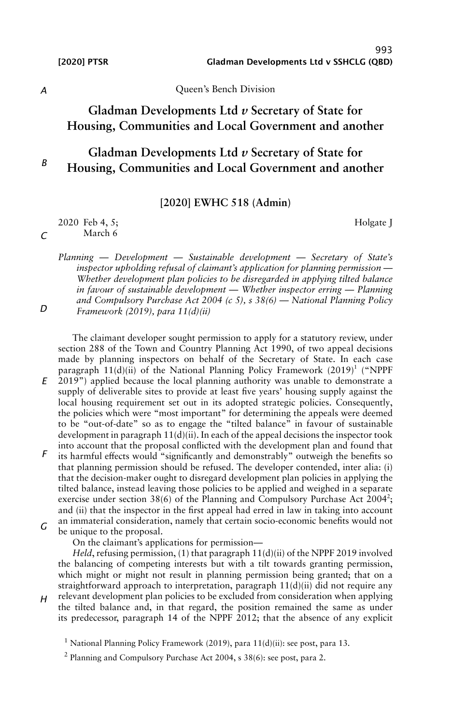993 [2020] PTSR Gladman Developments Ltd v SSHCLG (QBD)

Holgate J

*A*

*C*

*D*

Queen's Bench Division

# **Gladman Developments Ltd** *v* **Secretary of State for Housing, Communities and Local Government and another**

#### *B* **Gladman Developments Ltd** *v* **Secretary of State for Housing, Communities and Local Government and another**

**[2020] EWHC 518 (Admin)**

2020 Feb 4, 5; March 6

*Planning — Development — Sustainable development — Secretary of State's inspector upholding refusal of claimant's application for planning permission — Whether development plan policies to be disregarded in applying tilted balance in favour of sustainable development — Whether inspector erring — Planning and Compulsory Purchase Act 2004 (c 5), s 38(6) — National Planning Policy Framework (2019), para 11(d)(ii)*

*E* The claimant developer sought permission to apply for a statutory review, under section 288 of the Town and Country Planning Act 1990, of two appeal decisions made by planning inspectors on behalf of the Secretary of State. In each case paragraph  $11(d)(ii)$  of the National Planning Policy Framework (2019)<sup>1</sup> ("NPPF 2019") applied because the local planning authority was unable to demonstrate a supply of deliverable sites to provide at least five years' housing supply against the local housing requirement set out in its adopted strategic policies. Consequently, the policies which were "most important" for determining the appeals were deemed

*F* to be "out-of-date" so as to engage the "tilted balance" in favour of sustainable development in paragraph 11(d)(ii). In each of the appeal decisions the inspector took into account that the proposal conflicted with the development plan and found that its harmful effects would "significantly and demonstrably" outweigh the benefits so that planning permission should be refused. The developer contended, inter alia: (i) that the decision-maker ought to disregard development plan policies in applying the tilted balance, instead leaving those policies to be applied and weighed in a separate exercise under section 38(6) of the Planning and Compulsory Purchase Act  $2004$ <sup>2</sup>; and (ii) that the inspector in the first appeal had erred in law in taking into account

*G* an immaterial consideration, namely that certain socio-economic benefits would not be unique to the proposal.

On the claimant's applications for permission—

*Held*, refusing permission, (1) that paragraph 11(d)(ii) of the NPPF 2019 involved the balancing of competing interests but with a tilt towards granting permission, which might or might not result in planning permission being granted; that on a straightforward approach to interpretation, paragraph  $11(d)(ii)$  did not require any relevant development plan policies to be excluded from consideration when applying

*H* the tilted balance and, in that regard, the position remained the same as under its predecessor, paragraph 14 of the NPPF 2012; that the absence of any explicit

<sup>&</sup>lt;sup>1</sup> National Planning Policy Framework (2019), para 11(d)(ii): see post, para 13.

<sup>&</sup>lt;sup>2</sup> Planning and Compulsory Purchase Act 2004, s 38(6): see post, para 2.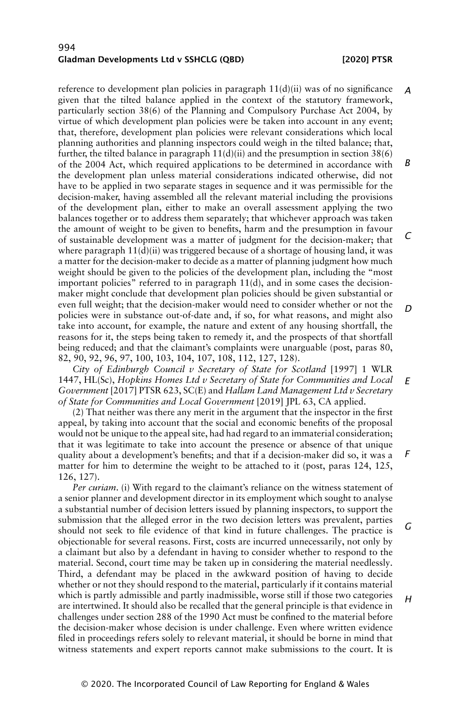reference to development plan policies in paragraph  $11(d)(ii)$  was of no significance given that the tilted balance applied in the context of the statutory framework, particularly section 38(6) of the Planning and Compulsory Purchase Act 2004, by virtue of which development plan policies were be taken into account in any event; that, therefore, development plan policies were relevant considerations which local planning authorities and planning inspectors could weigh in the tilted balance; that, further, the tilted balance in paragraph  $11(d)(ii)$  and the presumption in section 38(6) of the 2004 Act, which required applications to be determined in accordance with the development plan unless material considerations indicated otherwise, did not have to be applied in two separate stages in sequence and it was permissible for the decision-maker, having assembled all the relevant material including the provisions of the development plan, either to make an overall assessment applying the two balances together or to address them separately; that whichever approach was taken the amount of weight to be given to benefits, harm and the presumption in favour of sustainable development was a matter of judgment for the decision-maker; that where paragraph  $11(d)(ii)$  was triggered because of a shortage of housing land, it was a matter for the decision-maker to decide as a matter of planning judgment how much weight should be given to the policies of the development plan, including the "most important policies" referred to in paragraph  $11(d)$ , and in some cases the decisionmaker might conclude that development plan policies should be given substantial or even full weight; that the decision-maker would need to consider whether or not the policies were in substance out-of-date and, if so, for what reasons, and might also take into account, for example, the nature and extent of any housing shortfall, the reasons for it, the steps being taken to remedy it, and the prospects of that shortfall being reduced; and that the claimant's complaints were unarguable (post, paras 80, 82, 90, 92, 96, 97, 100, 103, 104, 107, 108, 112, 127, 128). *A B C*

*City of Edinburgh Council v Secretary of State for Scotland* [1997] 1 WLR 1447, HL(Sc), *Hopkins Homes Ltd v Secretary of State for Communities and Local Government* [2017] PTSR 623, SC(E) and *Hallam Land Management Ltd v Secretary of State for Communities and Local Government* [2019] JPL 63, CA applied. *E*

(2) That neither was there any merit in the argument that the inspector in the first appeal, by taking into account that the social and economic benefits of the proposal would not be unique to the appeal site, had had regard to an immaterial consideration; that it was legitimate to take into account the presence or absence of that unique quality about a development's benefits; and that if a decision-maker did so, it was a matter for him to determine the weight to be attached to it (post, paras 124, 125, 126, 127).

*Per curiam*. (i) With regard to the claimant's reliance on the witness statement of a senior planner and development director in its employment which sought to analyse a substantial number of decision letters issued by planning inspectors, to support the submission that the alleged error in the two decision letters was prevalent, parties should not seek to file evidence of that kind in future challenges. The practice is objectionable for several reasons. First, costs are incurred unnecessarily, not only by a claimant but also by a defendant in having to consider whether to respond to the material. Second, court time may be taken up in considering the material needlessly. Third, a defendant may be placed in the awkward position of having to decide whether or not they should respond to the material, particularly if it contains material which is partly admissible and partly inadmissible, worse still if those two categories are intertwined. It should also be recalled that the general principle is that evidence in challenges under section 288 of the 1990 Act must be confined to the material before the decision-maker whose decision is under challenge. Even where written evidence filed in proceedings refers solely to relevant material, it should be borne in mind that witness statements and expert reports cannot make submissions to the court. It is *G H*

*D*

*F*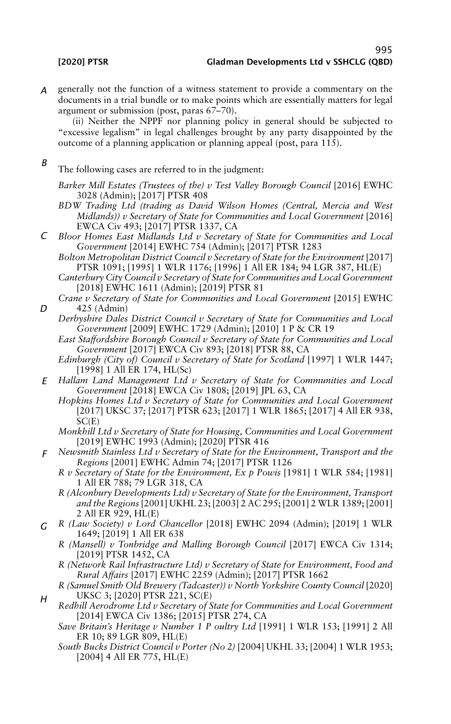*A* generally not the function of a witness statement to provide a commentary on the documents in a trial bundle or to make points which are essentially matters for legal argument or submission (post, paras 67–70).

(ii) Neither the NPPF nor planning policy in general should be subjected to "excessive legalism" in legal challenges brought by any party disappointed by the outcome of a planning application or planning appeal (post, para 115).

*B* The following cases are referred to in the judgment:

*Barker Mill Estates (Trustees of the) v Test Valley Borough Council* [2016] EWHC 3028 (Admin); [2017] PTSR 408

- *BDW Trading Ltd (trading as David Wilson Homes (Central, Mercia and West Midlands)) v Secretary of State for Communities and Local Government* [2016] EWCA Civ 493; [2017] PTSR 1337, CA
- *C Bloor Homes East Midlands Ltd v Secretary of State for Communities and Local Government* [2014] EWHC 754 (Admin); [2017] PTSR 1283
	- *Bolton Metropolitan District Council v Secretary of State for the Environment* [2017] PTSR 1091; [1995] 1 WLR 1176; [1996] 1 All ER 184; 94 LGR 387, HL(E)
	- *Canterbury City Council v Secretary of State for Communities and Local Government* [2018] EWHC 1611 (Admin); [2019] PTSR 81
	- *Crane v Secretary of State for Communities and Local Government* [2015] EWHC 425 (Admin)
	- *Derbyshire Dales District Council v Secretary of State for Communities and Local Government* [2009] EWHC 1729 (Admin); [2010] 1 P & CR 19
		- *East Staffordshire Borough Council v Secretary of State for Communities and Local Government* [2017] EWCA Civ 893; [2018] PTSR 88, CA
		- *Edinburgh (City of) Council v Secretary of State for Scotland* [1997] 1 WLR 1447; [1998] 1 All ER 174, HL(Sc)
- *E Hallam Land Management Ltd v Secretary of State for Communities and Local Government* [2018] EWCA Civ 1808; [2019] JPL 63, CA
	- *Hopkins Homes Ltd v Secretary of State for Communities and Local Government* [2017] UKSC 37; [2017] PTSR 623; [2017] 1 WLR 1865; [2017] 4 All ER 938, SC(E)
	- *Monkhill Ltd v Secretary of State for Housing, Communities and Local Government* [2019] EWHC 1993 (Admin); [2020] PTSR 416
- *F Newsmith Stainless Ltd v Secretary of State for the Environment, Transport and the Regions* [2001] EWHC Admin 74; [2017] PTSR 1126
	- *R v Secretary of State for the Environment, Ex p Powis* [1981] 1 WLR 584; [1981] 1 All ER 788; 79 LGR 318, CA
	- *R (Alconbury Developments Ltd) v Secretary of State for the Environment, Transport and the Regions* [2001] UKHL 23; [2003] 2 AC 295; [2001] 2 WLR 1389; [2001] 2 All ER 929, HL(E)
- *G R (Law Society) v Lord Chancellor* [2018] EWHC 2094 (Admin); [2019] 1 WLR 1649; [2019] 1 All ER 638
	- *R (Mansell) v Tonbridge and Malling Borough Council* [2017] EWCA Civ 1314; [2019] PTSR 1452, CA
	- *R (Network Rail Infrastructure Ltd) v Secretary of State for Environment, Food and Rural Affairs* [2017] EWHC 2259 (Admin); [2017] PTSR 1662
	- *R (Samuel Smith Old Brewery (Tadcaster)) v North Yorkshire County Council* [2020] UKSC 3; [2020] PTSR 221, SC(E)
	- *Redhill Aerodrome Ltd v Secretary of State for Communities and Local Government* [2014] EWCA Civ 1386; [2015] PTSR 274, CA
		- *Save Britain's Heritage v Number 1 P oultry Ltd* [1991] 1 WLR 153; [1991] 2 All ER 10; 89 LGR 809, HL(E)
		- *South Bucks District Council v Porter (No 2)* [2004] UKHL 33; [2004] 1 WLR 1953; [2004] 4 All ER 775, HL(E)

*D*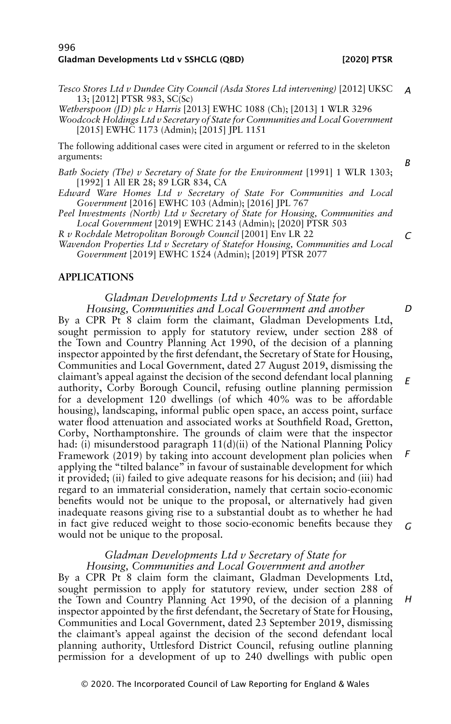*Tesco Stores Ltd v Dundee City Council (Asda Stores Ltd intervening)* [2012] UKSC *A* 13; [2012] PTSR 983, SC(Sc)

*Wetherspoon (JD) plc v Harris* [2013] EWHC 1088 (Ch); [2013] 1 WLR 3296 *Woodcock Holdings Ltd v Secretary of State for Communities and Local Government* [2015] EWHC 1173 (Admin); [2015] JPL 1151

The following additional cases were cited in argument or referred to in the skeleton arguments:

*Bath Society (The) v Secretary of State for the Environment* [1991] 1 WLR 1303; [1992] 1 All ER 28; 89 LGR 834, CA

- *Edward Ware Homes Ltd v Secretary of State For Communities and Local Government* [2016] EWHC 103 (Admin); [2016] JPL 767
- *Peel Investments (North) Ltd v Secretary of State for Housing, Communities and Local Government* [2019] EWHC 2143 (Admin); [2020] PTSR 503

*R v Rochdale Metropolitan Borough Council* [2001] Env LR 22

*Wavendon Properties Ltd v Secretary of Statefor Housing, Communities and Local Government* [2019] EWHC 1524 (Admin); [2019] PTSR 2077

# **APPLICATIONS**

#### *Gladman Developments Ltd v Secretary of State for Housing, Communities and Local Government and another*

By a CPR Pt 8 claim form the claimant, Gladman Developments Ltd, sought permission to apply for statutory review, under section 288 of the Town and Country Planning Act 1990, of the decision of a planning inspector appointed by the first defendant, the Secretary of State for Housing, Communities and Local Government, dated 27 August 2019, dismissing the claimant's appeal against the decision of the second defendant local planning authority, Corby Borough Council, refusing outline planning permission for a development 120 dwellings (of which 40% was to be affordable housing), landscaping, informal public open space, an access point, surface water flood attenuation and associated works at Southfield Road, Gretton, Corby, Northamptonshire. The grounds of claim were that the inspector had: (i) misunderstood paragraph  $11(d)(ii)$  of the National Planning Policy Framework (2019) by taking into account development plan policies when applying the "tilted balance" in favour of sustainable development for which it provided; (ii) failed to give adequate reasons for his decision; and (iii) had regard to an immaterial consideration, namely that certain socio-economic benefits would not be unique to the proposal, or alternatively had given inadequate reasons giving rise to a substantial doubt as to whether he had in fact give reduced weight to those socio-economic benefits because they would not be unique to the proposal. *E F G*

# *Gladman Developments Ltd v Secretary of State for Housing, Communities and Local Government and another*

By a CPR Pt 8 claim form the claimant, Gladman Developments Ltd, sought permission to apply for statutory review, under section 288 of the Town and Country Planning Act 1990, of the decision of a planning inspector appointed by the first defendant, the Secretary of State for Housing, Communities and Local Government, dated 23 September 2019, dismissing the claimant's appeal against the decision of the second defendant local planning authority, Uttlesford District Council, refusing outline planning permission for a development of up to 240 dwellings with public open

*C*

*D*

*H*

*B*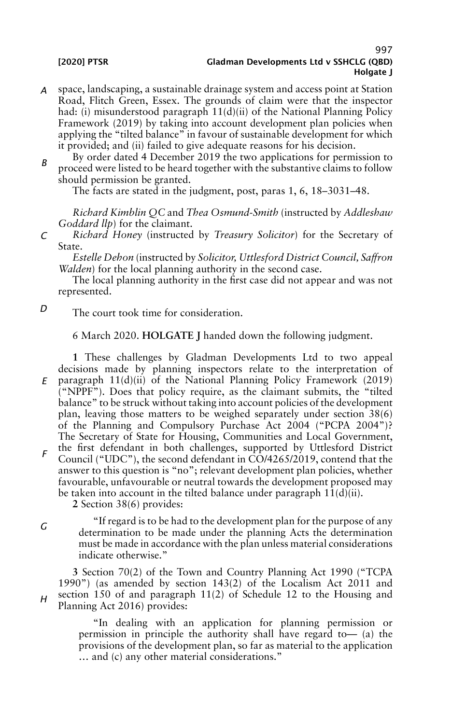- *A* space, landscaping, a sustainable drainage system and access point at Station Road, Flitch Green, Essex. The grounds of claim were that the inspector had: (i) misunderstood paragraph 11(d)(ii) of the National Planning Policy Framework (2019) by taking into account development plan policies when applying the "tilted balance" in favour of sustainable development for which it provided; and (ii) failed to give adequate reasons for his decision.
- *B* By order dated 4 December 2019 the two applications for permission to proceed were listed to be heard together with the substantive claims to follow should permission be granted.

The facts are stated in the judgment, post, paras 1, 6, 18–3031–48.

*Richard Kimblin QC* and *Thea Osmund-Smith* (instructed by *Addleshaw Goddard llp*) for the claimant.

*C Richard Honey* (instructed by *Treasury Solicitor*) for the Secretary of State.

*Estelle Dehon* (instructed by *Solicitor, Uttlesford District Council, Saffron Walden*) for the local planning authority in the second case.

The local planning authority in the first case did not appear and was not represented.

*D*

*G*

The court took time for consideration.

6 March 2020. **HOLGATE J** handed down the following judgment.

*E F* **1** These challenges by Gladman Developments Ltd to two appeal decisions made by planning inspectors relate to the interpretation of paragraph 11(d)(ii) of the National Planning Policy Framework (2019) ("NPPF"). Does that policy require, as the claimant submits, the "tilted balance" to be struck without taking into account policies of the development plan, leaving those matters to be weighed separately under section 38(6) of the Planning and Compulsory Purchase Act 2004 ("PCPA 2004")? The Secretary of State for Housing, Communities and Local Government, the first defendant in both challenges, supported by Uttlesford District Council ("UDC"), the second defendant in CO/4265/2019, contend that the answer to this question is "no"; relevant development plan policies, whether favourable, unfavourable or neutral towards the development proposed may be taken into account in the tilted balance under paragraph  $11(d)(ii)$ .

**2** Section 38(6) provides:

"If regard is to be had to the development plan for the purpose of any determination to be made under the planning Acts the determination must be made in accordance with the plan unless material considerations indicate otherwise."

*H* **3** Section 70(2) of the Town and Country Planning Act 1990 ("TCPA 1990") (as amended by section 143(2) of the Localism Act 2011 and section 150 of and paragraph 11(2) of Schedule 12 to the Housing and Planning Act 2016) provides:

> "In dealing with an application for planning permission or permission in principle the authority shall have regard to— (a) the provisions of the development plan, so far as material to the application … and (c) any other material considerations."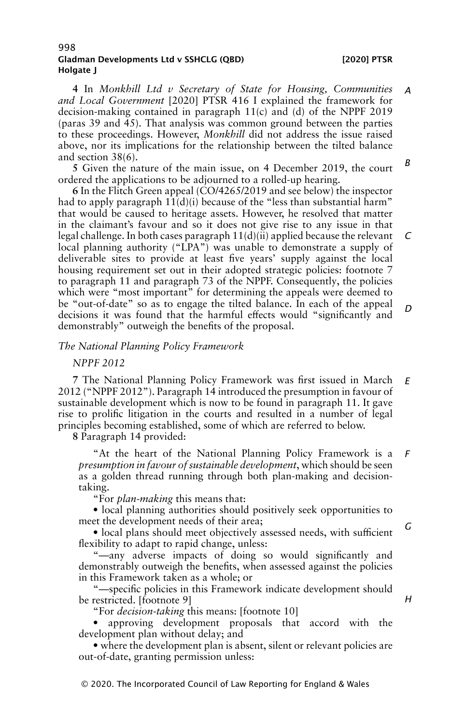**4** In *Monkhill Ltd v Secretary of State for Housing, Communities and Local Government* [2020] PTSR 416 I explained the framework for decision-making contained in paragraph 11(c) and (d) of the NPPF 2019 (paras 39 and 45). That analysis was common ground between the parties to these proceedings. However, *Monkhill* did not address the issue raised above, nor its implications for the relationship between the tilted balance and section 38(6). *A B*

**5** Given the nature of the main issue, on 4 December 2019, the court ordered the applications to be adjourned to a rolled-up hearing.

**6** In the Flitch Green appeal (CO/4265/2019 and see below) the inspector had to apply paragraph  $11(d)(i)$  because of the "less than substantial harm" that would be caused to heritage assets. However, he resolved that matter in the claimant's favour and so it does not give rise to any issue in that legal challenge. In both cases paragraph 11(d)(ii) applied because the relevant local planning authority ("LPA") was unable to demonstrate a supply of deliverable sites to provide at least five years' supply against the local housing requirement set out in their adopted strategic policies: footnote 7 to paragraph 11 and paragraph 73 of the NPPF. Consequently, the policies which were "most important" for determining the appeals were deemed to be "out-of-date" so as to engage the tilted balance. In each of the appeal decisions it was found that the harmful effects would "significantly and demonstrably" outweigh the benefits of the proposal. *C D*

### *The National Planning Policy Framework*

### *NPPF 2012*

**7** The National Planning Policy Framework was first issued in March 2012 ("NPPF 2012"). Paragraph 14 introduced the presumption in favour of sustainable development which is now to be found in paragraph 11. It gave rise to prolific litigation in the courts and resulted in a number of legal principles becoming established, some of which are referred to below. *E*

**8** Paragraph 14 provided:

"At the heart of the National Planning Policy Framework is a *presumption in favour of sustainable development*, which should be seen as a golden thread running through both plan-making and decisiontaking. *F*

"For *plan-making* this means that:

• local planning authorities should positively seek opportunities to meet the development needs of their area;

• local plans should meet objectively assessed needs, with sufficient flexibility to adapt to rapid change, unless:

"—any adverse impacts of doing so would significantly and demonstrably outweigh the benefits, when assessed against the policies in this Framework taken as a whole; or

"—specific policies in this Framework indicate development should be restricted. [footnote 9]

"For *decision-taking* this means: [footnote 10]

• approving development proposals that accord with the development plan without delay; and

• where the development plan is absent, silent or relevant policies are out-of-date, granting permission unless:

*H*

*G*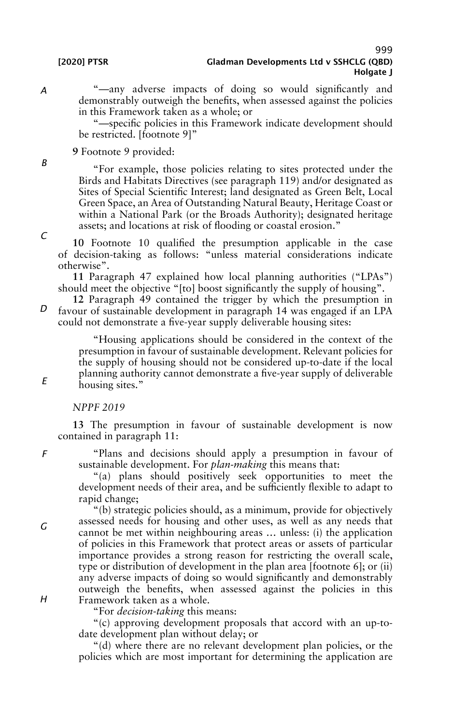"—any adverse impacts of doing so would significantly and demonstrably outweigh the benefits, when assessed against the policies in this Framework taken as a whole; or

"—specific policies in this Framework indicate development should be restricted. [footnote 9]"

# **9** Footnote 9 provided:

"For example, those policies relating to sites protected under the Birds and Habitats Directives (see paragraph 119) and/or designated as Sites of Special Scientific Interest; land designated as Green Belt, Local Green Space, an Area of Outstanding Natural Beauty, Heritage Coast or within a National Park (or the Broads Authority); designated heritage assets; and locations at risk of flooding or coastal erosion."

**10** Footnote 10 qualified the presumption applicable in the case of decision-taking as follows: "unless material considerations indicate otherwise".

**11** Paragraph 47 explained how local planning authorities ("LPAs") should meet the objective "[to] boost significantly the supply of housing".

*D* **12** Paragraph 49 contained the trigger by which the presumption in favour of sustainable development in paragraph 14 was engaged if an LPA could not demonstrate a five-year supply deliverable housing sites:

> "Housing applications should be considered in the context of the presumption in favour of sustainable development. Relevant policies for the supply of housing should not be considered up-to-date if the local planning authority cannot demonstrate a five-year supply of deliverable housing sites."

#### *NPPF 2019*

**13** The presumption in favour of sustainable development is now contained in paragraph 11:

"Plans and decisions should apply a presumption in favour of sustainable development. For *plan-making* this means that:

"(a) plans should positively seek opportunities to meet the development needs of their area, and be sufficiently flexible to adapt to rapid change;

"(b) strategic policies should, as a minimum, provide for objectively assessed needs for housing and other uses, as well as any needs that cannot be met within neighbouring areas … unless: (i) the application of policies in this Framework that protect areas or assets of particular importance provides a strong reason for restricting the overall scale, type or distribution of development in the plan area [footnote 6]; or (ii) any adverse impacts of doing so would significantly and demonstrably outweigh the benefits, when assessed against the policies in this Framework taken as a whole.

"For *decision-taking* this means:

"(c) approving development proposals that accord with an up-todate development plan without delay; or

"(d) where there are no relevant development plan policies, or the policies which are most important for determining the application are

*A*

*C*

*B*

*E*

*F*

*G*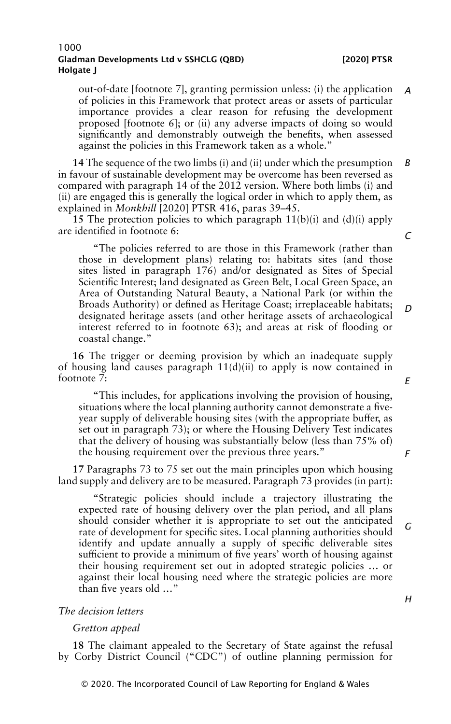out-of-date [footnote 7], granting permission unless: (i) the application of policies in this Framework that protect areas or assets of particular importance provides a clear reason for refusing the development proposed [footnote 6]; or (ii) any adverse impacts of doing so would significantly and demonstrably outweigh the benefits, when assessed against the policies in this Framework taken as a whole." *A*

**14** The sequence of the two limbs (i) and (ii) under which the presumption in favour of sustainable development may be overcome has been reversed as compared with paragraph 14 of the 2012 version. Where both limbs (i) and (ii) are engaged this is generally the logical order in which to apply them, as explained in *Monkhill* [2020] PTSR 416, paras 39–45. *B*

**15** The protection policies to which paragraph 11(b)(i) and (d)(i) apply are identified in footnote 6:

"The policies referred to are those in this Framework (rather than those in development plans) relating to: habitats sites (and those sites listed in paragraph 176) and/or designated as Sites of Special Scientific Interest; land designated as Green Belt, Local Green Space, an Area of Outstanding Natural Beauty, a National Park (or within the Broads Authority) or defined as Heritage Coast; irreplaceable habitats; designated heritage assets (and other heritage assets of archaeological interest referred to in footnote 63); and areas at risk of flooding or coastal change."

**16** The trigger or deeming provision by which an inadequate supply of housing land causes paragraph  $11(d)(ii)$  to apply is now contained in footnote 7:

"This includes, for applications involving the provision of housing, situations where the local planning authority cannot demonstrate a fiveyear supply of deliverable housing sites (with the appropriate buffer, as set out in paragraph 73); or where the Housing Delivery Test indicates that the delivery of housing was substantially below (less than 75% of) the housing requirement over the previous three years."

**17** Paragraphs 73 to 75 set out the main principles upon which housing land supply and delivery are to be measured. Paragraph 73 provides (in part):

"Strategic policies should include a trajectory illustrating the expected rate of housing delivery over the plan period, and all plans should consider whether it is appropriate to set out the anticipated rate of development for specific sites. Local planning authorities should identify and update annually a supply of specific deliverable sites sufficient to provide a minimum of five years' worth of housing against their housing requirement set out in adopted strategic policies … or against their local housing need where the strategic policies are more than five years old …" *G*

# *The decision letters*

#### *Gretton appeal*

**18** The claimant appealed to the Secretary of State against the refusal by Corby District Council ("CDC") of outline planning permission for *E*

*C*

*D*

*F*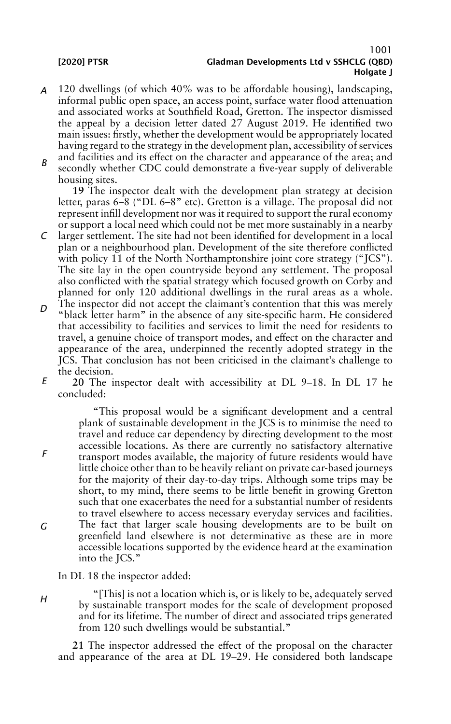# 1001 [2020] PTSR Gladman Developments Ltd v SSHCLG (QBD) Holgate I

- *A* 120 dwellings (of which 40% was to be affordable housing), landscaping, informal public open space, an access point, surface water flood attenuation and associated works at Southfield Road, Gretton. The inspector dismissed the appeal by a decision letter dated 27 August 2019. He identified two main issues: firstly, whether the development would be appropriately located having regard to the strategy in the development plan, accessibility of services and facilities and its effect on the character and appearance of the area; and
- *B* secondly whether CDC could demonstrate a five-year supply of deliverable housing sites.

**19** The inspector dealt with the development plan strategy at decision letter, paras 6–8 ("DL 6–8" etc). Gretton is a village. The proposal did not represent infill development nor was it required to support the rural economy or support a local need which could not be met more sustainably in a nearby

- *C* larger settlement. The site had not been identified for development in a local plan or a neighbourhood plan. Development of the site therefore conflicted with policy 11 of the North Northamptonshire joint core strategy ("JCS"). The site lay in the open countryside beyond any settlement. The proposal also conflicted with the spatial strategy which focused growth on Corby and planned for only 120 additional dwellings in the rural areas as a whole.
- *D* The inspector did not accept the claimant's contention that this was merely "black letter harm" in the absence of any site-specific harm. He considered that accessibility to facilities and services to limit the need for residents to travel, a genuine choice of transport modes, and effect on the character and appearance of the area, underpinned the recently adopted strategy in the JCS. That conclusion has not been criticised in the claimant's challenge to the decision.
- *E* **20** The inspector dealt with accessibility at DL 9–18. In DL 17 he concluded:

"This proposal would be a significant development and a central plank of sustainable development in the JCS is to minimise the need to travel and reduce car dependency by directing development to the most accessible locations. As there are currently no satisfactory alternative transport modes available, the majority of future residents would have little choice other than to be heavily reliant on private car-based journeys for the majority of their day-to-day trips. Although some trips may be short, to my mind, there seems to be little benefit in growing Gretton such that one exacerbates the need for a substantial number of residents to travel elsewhere to access necessary everyday services and facilities. The fact that larger scale housing developments are to be built on greenfield land elsewhere is not determinative as these are in more accessible locations supported by the evidence heard at the examination into the JCS."

In DL 18 the inspector added:

*H*

*G*

*F*

"[This] is not a location which is, or is likely to be, adequately served by sustainable transport modes for the scale of development proposed and for its lifetime. The number of direct and associated trips generated from 120 such dwellings would be substantial."

**21** The inspector addressed the effect of the proposal on the character and appearance of the area at DL 19–29. He considered both landscape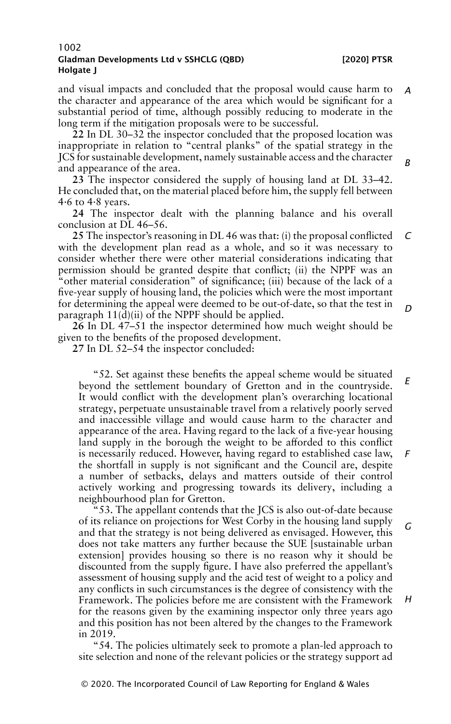and visual impacts and concluded that the proposal would cause harm to the character and appearance of the area which would be significant for a substantial period of time, although possibly reducing to moderate in the long term if the mitigation proposals were to be successful. *A*

**22** In DL 30–32 the inspector concluded that the proposed location was inappropriate in relation to "central planks" of the spatial strategy in the JCS for sustainable development, namely sustainable access and the character and appearance of the area.

**23** The inspector considered the supply of housing land at DL 33–42. He concluded that, on the material placed before him, the supply fell between 4·6 to 4·8 years.

**24** The inspector dealt with the planning balance and his overall conclusion at DL 46–56.

**25** The inspector's reasoning in DL 46 was that: (i) the proposal conflicted with the development plan read as a whole, and so it was necessary to consider whether there were other material considerations indicating that permission should be granted despite that conflict; (ii) the NPPF was an "other material consideration" of significance; (iii) because of the lack of a five-year supply of housing land, the policies which were the most important for determining the appeal were deemed to be out-of-date, so that the test in paragraph  $11(\tilde{d})(ii)$  of the NPPF should be applied. *C D*

**26** In DL 47–51 the inspector determined how much weight should be given to the benefits of the proposed development.

**27** In DL 52–54 the inspector concluded:

"52. Set against these benefits the appeal scheme would be situated beyond the settlement boundary of Gretton and in the countryside. It would conflict with the development plan's overarching locational strategy, perpetuate unsustainable travel from a relatively poorly served and inaccessible village and would cause harm to the character and appearance of the area. Having regard to the lack of a five-year housing land supply in the borough the weight to be afforded to this conflict is necessarily reduced. However, having regard to established case law, the shortfall in supply is not significant and the Council are, despite a number of setbacks, delays and matters outside of their control actively working and progressing towards its delivery, including a neighbourhood plan for Gretton. *E F*

"53. The appellant contends that the JCS is also out-of-date because of its reliance on projections for West Corby in the housing land supply and that the strategy is not being delivered as envisaged. However, this does not take matters any further because the SUE [sustainable urban extension] provides housing so there is no reason why it should be discounted from the supply figure. I have also preferred the appellant's assessment of housing supply and the acid test of weight to a policy and any conflicts in such circumstances is the degree of consistency with the Framework. The policies before me are consistent with the Framework for the reasons given by the examining inspector only three years ago and this position has not been altered by the changes to the Framework in 2019. *G*

"54. The policies ultimately seek to promote a plan-led approach to site selection and none of the relevant policies or the strategy support ad

*B*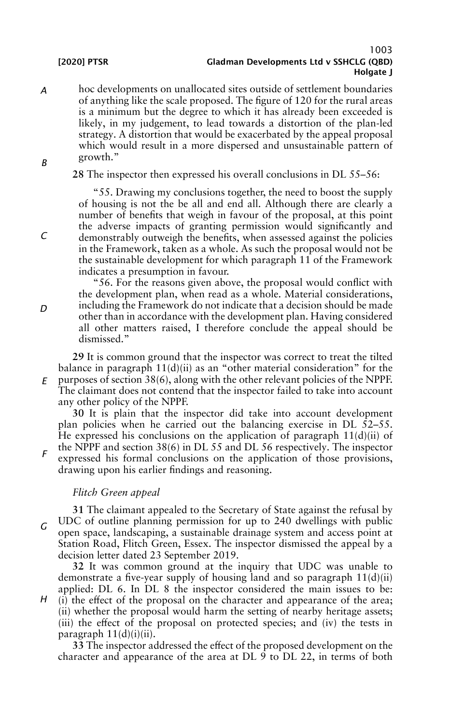*A B* hoc developments on unallocated sites outside of settlement boundaries of anything like the scale proposed. The figure of 120 for the rural areas is a minimum but the degree to which it has already been exceeded is likely, in my judgement, to lead towards a distortion of the plan-led strategy. A distortion that would be exacerbated by the appeal proposal which would result in a more dispersed and unsustainable pattern of growth."

**28** The inspector then expressed his overall conclusions in DL 55–56:

"55. Drawing my conclusions together, the need to boost the supply of housing is not the be all and end all. Although there are clearly a number of benefits that weigh in favour of the proposal, at this point the adverse impacts of granting permission would significantly and demonstrably outweigh the benefits, when assessed against the policies in the Framework, taken as a whole. As such the proposal would not be the sustainable development for which paragraph 11 of the Framework indicates a presumption in favour.

"56. For the reasons given above, the proposal would conflict with the development plan, when read as a whole. Material considerations, including the Framework do not indicate that a decision should be made other than in accordance with the development plan. Having considered all other matters raised, I therefore conclude the appeal should be dismissed."

*E* **29** It is common ground that the inspector was correct to treat the tilted balance in paragraph  $11(d)(ii)$  as an "other material consideration" for the purposes of section 38(6), along with the other relevant policies of the NPPF. The claimant does not contend that the inspector failed to take into account any other policy of the NPPF.

**30** It is plain that the inspector did take into account development plan policies when he carried out the balancing exercise in DL 52–55. He expressed his conclusions on the application of paragraph  $11(d)(ii)$  of

*F* the NPPF and section 38(6) in DL 55 and DL 56 respectively. The inspector expressed his formal conclusions on the application of those provisions, drawing upon his earlier findings and reasoning.

# *Flitch Green appeal*

*G* **31** The claimant appealed to the Secretary of State against the refusal by UDC of outline planning permission for up to 240 dwellings with public open space, landscaping, a sustainable drainage system and access point at Station Road, Flitch Green, Essex. The inspector dismissed the appeal by a decision letter dated 23 September 2019.

**32** It was common ground at the inquiry that UDC was unable to demonstrate a five-year supply of housing land and so paragraph 11(d)(ii) applied: DL 6. In DL 8 the inspector considered the main issues to be:

*H* (i) the effect of the proposal on the character and appearance of the area; (ii) whether the proposal would harm the setting of nearby heritage assets; (iii) the effect of the proposal on protected species; and (iv) the tests in paragraph  $11(d)(i)(ii)$ .

**33** The inspector addressed the effect of the proposed development on the character and appearance of the area at DL 9 to DL 22, in terms of both

*D*

*C*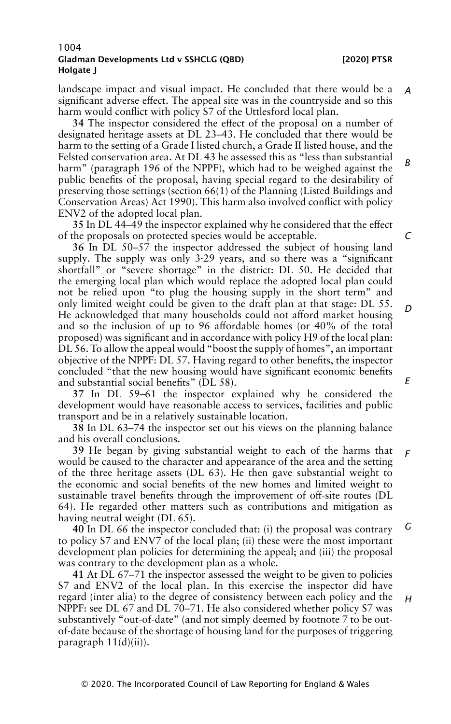landscape impact and visual impact. He concluded that there would be a significant adverse effect. The appeal site was in the countryside and so this harm would conflict with policy S7 of the Uttlesford local plan. *A*

**34** The inspector considered the effect of the proposal on a number of designated heritage assets at DL 23–43. He concluded that there would be harm to the setting of a Grade I listed church, a Grade II listed house, and the Felsted conservation area. At DL 43 he assessed this as "less than substantial harm" (paragraph 196 of the NPPF), which had to be weighed against the public benefits of the proposal, having special regard to the desirability of preserving those settings (section 66(1) of the Planning (Listed Buildings and Conservation Areas) Act 1990). This harm also involved conflict with policy ENV2 of the adopted local plan.

**35** In DL 44–49 the inspector explained why he considered that the effect of the proposals on protected species would be acceptable.

**36** In DL 50–57 the inspector addressed the subject of housing land supply. The supply was only 3·29 years, and so there was a "significant shortfall" or "severe shortage" in the district: DL 50. He decided that the emerging local plan which would replace the adopted local plan could not be relied upon "to plug the housing supply in the short term" and only limited weight could be given to the draft plan at that stage: DL 55. He acknowledged that many households could not afford market housing and so the inclusion of up to 96 affordable homes (or 40% of the total proposed) was significant and in accordance with policy H9 of the local plan: DL 56. Toallow the appeal would "boost the supply of homes", an important objective of the NPPF: DL 57. Having regard to other benefits, the inspector concluded "that the new housing would have significant economic benefits and substantial social benefits" (DL 58). *D*

**37** In DL 59–61 the inspector explained why he considered the development would have reasonable access to services, facilities and public transport and be in a relatively sustainable location.

**38** In DL 63–74 the inspector set out his views on the planning balance and his overall conclusions.

**39** He began by giving substantial weight to each of the harms that would be caused to the character and appearance of the area and the setting of the three heritage assets (DL 63). He then gave substantial weight to the economic and social benefits of the new homes and limited weight to sustainable travel benefits through the improvement of off-site routes (DL 64). He regarded other matters such as contributions and mitigation as having neutral weight (DL 65). *F*

**40** In DL 66 the inspector concluded that: (i) the proposal was contrary to policy S7 and ENV7 of the local plan; (ii) these were the most important development plan policies for determining the appeal; and (iii) the proposal was contrary to the development plan as a whole. *G*

**41** At DL 67–71 the inspector assessed the weight to be given to policies S7 and ENV2 of the local plan. In this exercise the inspector did have regard (inter alia) to the degree of consistency between each policy and the NPPF: see DL 67 and DL 70–71. He also considered whether policy S7 was substantively "out-of-date" (and not simply deemed by footnote 7 to be outof-date because of the shortage of housing land for the purposes of triggering paragraph  $11(d)(ii)$ ).

*C*

*B*

*E*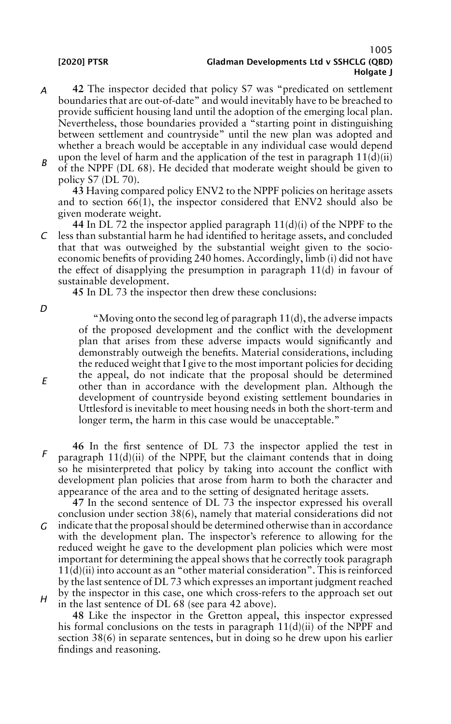### 1005 [2020] PTSR Gladman Developments Ltd v SSHCLG (QBD) Holgate I

- *A* **42** The inspector decided that policy S7 was "predicated on settlement boundaries that are out-of-date" and would inevitably have to be breached to provide sufficient housing land until the adoption of the emerging local plan. Nevertheless, those boundaries provided a "starting point in distinguishing between settlement and countryside" until the new plan was adopted and whether a breach would be acceptable in any individual case would depend upon the level of harm and the application of the test in paragraph  $11(d)(ii)$
- *B* of the NPPF (DL 68). He decided that moderate weight should be given to policy S7 (DL 70).

**43** Having compared policy ENV2 to the NPPF policies on heritage assets and to section  $66(1)$ , the inspector considered that ENV2 should also be given moderate weight.

*C* **44** In DL 72 the inspector applied paragraph 11(d)(i) of the NPPF to the less than substantial harm he had identified to heritage assets, and concluded that that was outweighed by the substantial weight given to the socioeconomic benefits of providing 240 homes. Accordingly, limb (i) did not have the effect of disapplying the presumption in paragraph 11(d) in favour of sustainable development.

**45** In DL 73 the inspector then drew these conclusions:

*D*

*E*

"Moving onto the second leg of paragraph 11(d), the adverse impacts of the proposed development and the conflict with the development plan that arises from these adverse impacts would significantly and demonstrably outweigh the benefits. Material considerations, including the reduced weight that I give to the most important policies for deciding the appeal, do not indicate that the proposal should be determined other than in accordance with the development plan. Although the development of countryside beyond existing settlement boundaries in Uttlesford is inevitable to meet housing needs in both the short-term and longer term, the harm in this case would be unacceptable."

*F* **46** In the first sentence of DL 73 the inspector applied the test in paragraph  $11(d)(ii)$  of the NPPF, but the claimant contends that in doing so he misinterpreted that policy by taking into account the conflict with development plan policies that arose from harm to both the character and appearance of the area and to the setting of designated heritage assets.

*G H* **47** In the second sentence of DL 73 the inspector expressed his overall conclusion under section 38(6), namely that material considerations did not indicate that the proposal should be determined otherwise than in accordance with the development plan. The inspector's reference to allowing for the reduced weight he gave to the development plan policies which were most important for determining the appeal shows that he correctly took paragraph  $11(d)(ii)$  into account as an "other material consideration". This is reinforced by the last sentence of DL 73 which expresses an important judgment reached by the inspector in this case, one which cross-refers to the approach set out in the last sentence of DL 68 (see para 42 above).

**48** Like the inspector in the Gretton appeal, this inspector expressed his formal conclusions on the tests in paragraph  $11(d)(ii)$  of the NPPF and section 38(6) in separate sentences, but in doing so he drew upon his earlier findings and reasoning.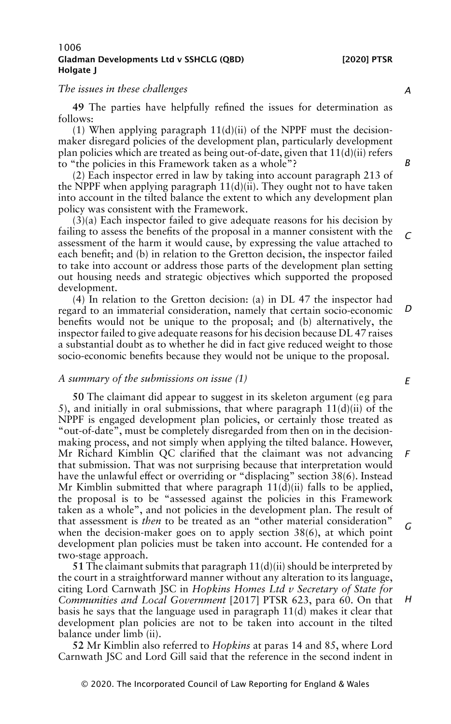# *The issues in these challenges*

**49** The parties have helpfully refined the issues for determination as follows:

(1) When applying paragraph  $11(d)(ii)$  of the NPPF must the decisionmaker disregard policies of the development plan, particularly development plan policies which are treated as being out-of-date, given that  $11(d)(ii)$  refers to "the policies in this Framework taken as a whole"?

(2) Each inspector erred in law by taking into account paragraph 213 of the NPPF when applying paragraph  $11(d)(ii)$ . They ought not to have taken into account in the tilted balance the extent to which any development plan policy was consistent with the Framework.

(3)(a) Each inspector failed to give adequate reasons for his decision by failing to assess the benefits of the proposal in a manner consistent with the assessment of the harm it would cause, by expressing the value attached to each benefit; and (b) in relation to the Gretton decision, the inspector failed to take into account or address those parts of the development plan setting out housing needs and strategic objectives which supported the proposed development. *C*

(4) In relation to the Gretton decision: (a) in DL 47 the inspector had regard to an immaterial consideration, namely that certain socio-economic benefits would not be unique to the proposal; and (b) alternatively, the inspector failed to give adequate reasons for his decision because DL 47 raises a substantial doubt as to whether he did in fact give reduced weight to those socio-economic benefits because they would not be unique to the proposal. *D*

#### *A summary of the submissions on issue (1)*

**50** The claimant did appear to suggest in its skeleton argument (e g para 5), and initially in oral submissions, that where paragraph  $11(d)(ii)$  of the NPPF is engaged development plan policies, or certainly those treated as "out-of-date", must be completely disregarded from then on in the decisionmaking process, and not simply when applying the tilted balance. However, Mr Richard Kimblin QC clarified that the claimant was not advancing that submission. That was not surprising because that interpretation would have the unlawful effect or overriding or "displacing" section 38(6). Instead Mr Kimblin submitted that where paragraph  $11(d)(ii)$  falls to be applied, the proposal is to be "assessed against the policies in this Framework taken as a whole", and not policies in the development plan. The result of that assessment is *then* to be treated as an "other material consideration" when the decision-maker goes on to apply section 38(6), at which point development plan policies must be taken into account. He contended for a two-stage approach.

**51** The claimant submits that paragraph 11(d)(ii) should be interpreted by the court in a straightforward manner without any alteration to its language, citing Lord Carnwath JSC in *Hopkins Homes Ltd v Secretary of State for Communities and Local Government* [2017] PTSR 623, para 60. On that basis he says that the language used in paragraph 11(d) makes it clear that development plan policies are not to be taken into account in the tilted balance under limb (ii).

**52** Mr Kimblin also referred to *Hopkins* at paras 14 and 85, where Lord Carnwath JSC and Lord Gill said that the reference in the second indent in

*A*

*B*

*E*

*F*

*G*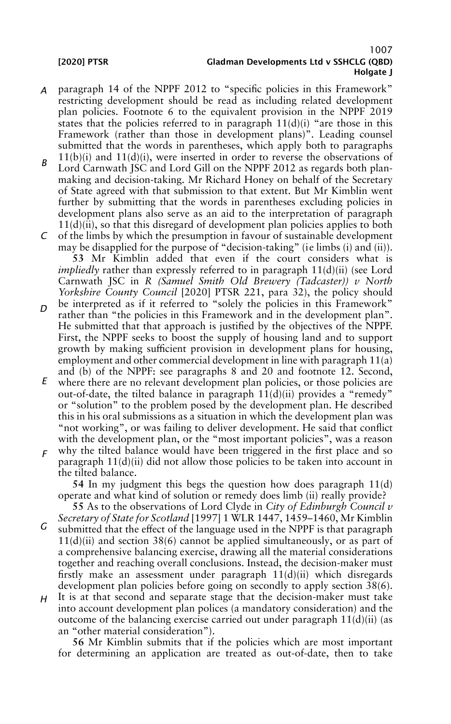- *A* paragraph 14 of the NPPF 2012 to "specific policies in this Framework" restricting development should be read as including related development plan policies. Footnote 6 to the equivalent provision in the NPPF 2019 states that the policies referred to in paragraph  $11(d)(i)$  "are those in this Framework (rather than those in development plans)". Leading counsel submitted that the words in parentheses, which apply both to paragraphs  $11(b)(i)$  and  $11(d)(i)$ , were inserted in order to reverse the observations of
- *B* Lord Carnwath JSC and Lord Gill on the NPPF 2012 as regards both planmaking and decision-taking. Mr Richard Honey on behalf of the Secretary of State agreed with that submission to that extent. But Mr Kimblin went further by submitting that the words in parentheses excluding policies in development plans also serve as an aid to the interpretation of paragraph  $11(d)(ii)$ , so that this disregard of development plan policies applies to both
- *C* of the limbs by which the presumption in favour of sustainable development may be disapplied for the purpose of "decision-taking" (ie limbs (i) and (ii)). **53** Mr Kimblin added that even if the court considers what is *impliedly* rather than expressly referred to in paragraph 11(d)(ii) (see Lord Carnwath JSC in *R (Samuel Smith Old Brewery (Tadcaster)) v North*
- *D Yorkshire County Council* [2020] PTSR 221, para 32), the policy should be interpreted as if it referred to "solely the policies in this Framework" rather than "the policies in this Framework and in the development plan". He submitted that that approach is justified by the objectives of the NPPF. First, the NPPF seeks to boost the supply of housing land and to support growth by making sufficient provision in development plans for housing, employment and other commercial development in line with paragraph 11(a) and (b) of the NPPF: see paragraphs 8 and 20 and footnote 12. Second,
- *E* where there are no relevant development plan policies, or those policies are out-of-date, the tilted balance in paragraph  $11(d)(ii)$  provides a "remedy" or "solution" to the problem posed by the development plan. He described this in his oral submissions as a situation in which the development plan was "not working", or was failing to deliver development. He said that conflict with the development plan, or the "most important policies", was a reason
- *F* why the tilted balance would have been triggered in the first place and so paragraph  $11(d)(ii)$  did not allow those policies to be taken into account in the tilted balance.

**54** In my judgment this begs the question how does paragraph 11(d) operate and what kind of solution or remedy does limb (ii) really provide?

**55** As to the observations of Lord Clyde in *City of Edinburgh Council v Secretary of State for Scotland* [1997] 1 WLR 1447, 1459–1460, Mr Kimblin

- *G* submitted that the effect of the language used in the NPPF is that paragraph  $11(d)(ii)$  and section 38(6) cannot be applied simultaneously, or as part of a comprehensive balancing exercise, drawing all the material considerations together and reaching overall conclusions. Instead, the decision-maker must firstly make an assessment under paragraph  $11(d)(ii)$  which disregards development plan policies before going on secondly to apply section 38(6).
- *H* It is at that second and separate stage that the decision-maker must take into account development plan polices (a mandatory consideration) and the outcome of the balancing exercise carried out under paragraph  $11(d)(ii)$  (as an "other material consideration").

**56** Mr Kimblin submits that if the policies which are most important for determining an application are treated as out-of-date, then to take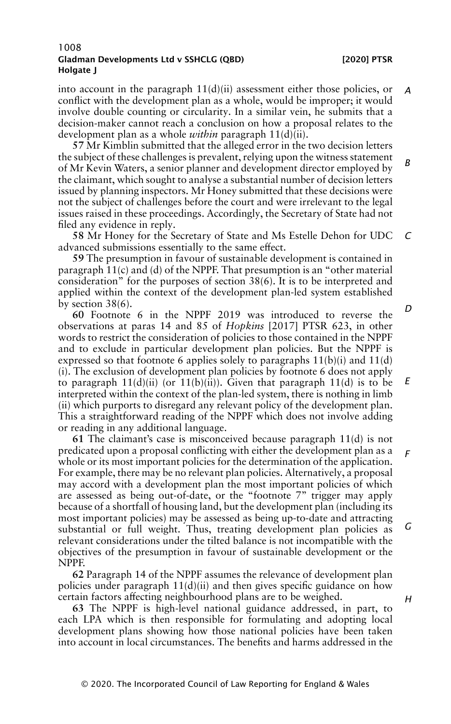into account in the paragraph  $11(d)(ii)$  assessment either those policies, or conflict with the development plan as a whole, would be improper; it would involve double counting or circularity. In a similar vein, he submits that a decision-maker cannot reach a conclusion on how a proposal relates to the development plan as a whole *within* paragraph 11(d)(ii). *A*

**57** Mr Kimblin submitted that the alleged error in the two decision letters the subject of these challenges is prevalent, relying upon the witness statement of Mr Kevin Waters, a senior planner and development director employed by the claimant, which sought to analyse a substantial number of decision letters issued by planning inspectors. Mr Honey submitted that these decisions were not the subject of challenges before the court and were irrelevant to the legal issues raised in these proceedings. Accordingly, the Secretary of State had not filed any evidence in reply. *B*

**58** Mr Honey for the Secretary of State and Ms Estelle Dehon for UDC advanced submissions essentially to the same effect. *C*

**59** The presumption in favour of sustainable development is contained in paragraph  $11(c)$  and (d) of the NPPF. That presumption is an "other material consideration" for the purposes of section 38(6). It is to be interpreted and applied within the context of the development plan-led system established by section 38(6).

**60** Footnote 6 in the NPPF 2019 was introduced to reverse the observations at paras 14 and 85 of *Hopkins* [2017] PTSR 623, in other words to restrict the consideration of policies to those contained in the NPPF and to exclude in particular development plan policies. But the NPPF is expressed so that footnote 6 applies solely to paragraphs  $11(b)(i)$  and  $11(d)$ (i). The exclusion of development plan policies by footnote 6 does not apply to paragraph  $11(d)(ii)$  (or  $11(b)(ii)$ ). Given that paragraph  $11(d)$  is to be interpreted within the context of the plan-led system, there is nothing in limb (ii) which purports to disregard any relevant policy of the development plan. This a straightforward reading of the NPPF which does not involve adding or reading in any additional language. *E*

**61** The claimant's case is misconceived because paragraph 11(d) is not predicated upon a proposal conflicting with either the development plan as a whole or its most important policies for the determination of the application. For example, there may be no relevant plan policies. Alternatively, a proposal may accord with a development plan the most important policies of which are assessed as being out-of-date, or the "footnote 7" trigger may apply because of a shortfall of housing land, but the development plan (including its most important policies) may be assessed as being up-to-date and attracting substantial or full weight. Thus, treating development plan policies as relevant considerations under the tilted balance is not incompatible with the objectives of the presumption in favour of sustainable development or the NPPF. *F G*

**62** Paragraph 14 of the NPPF assumes the relevance of development plan policies under paragraph  $11(d)(ii)$  and then gives specific guidance on how certain factors affecting neighbourhood plans are to be weighed.

**63** The NPPF is high-level national guidance addressed, in part, to each LPA which is then responsible for formulating and adopting local development plans showing how those national policies have been taken into account in local circumstances. The benefits and harms addressed in the *D*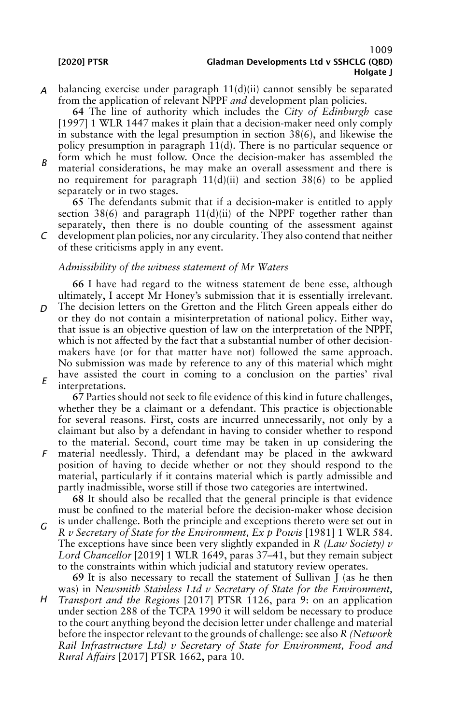*A* balancing exercise under paragraph 11(d)(ii) cannot sensibly be separated from the application of relevant NPPF *and* development plan policies.

**64** The line of authority which includes the *City of Edinburgh* case [1997] 1 WLR 1447 makes it plain that a decision-maker need only comply in substance with the legal presumption in section 38(6), and likewise the policy presumption in paragraph 11(d). There is no particular sequence or form which he must follow. Once the decision-maker has assembled the

*B* material considerations, he may make an overall assessment and there is no requirement for paragraph  $11(d)(ii)$  and section  $38(6)$  to be applied separately or in two stages.

**65** The defendants submit that if a decision-maker is entitled to apply section 38(6) and paragraph  $11(d)(ii)$  of the NPPF together rather than separately, then there is no double counting of the assessment against development plan policies, nor any circularity. They also contend that neither

*C* of these criticisms apply in any event.

# *Admissibility of the witness statement of Mr Waters*

**66** I have had regard to the witness statement de bene esse, although ultimately, I accept Mr Honey's submission that it is essentially irrelevant.

*D E* The decision letters on the Gretton and the Flitch Green appeals either do or they do not contain a misinterpretation of national policy. Either way, that issue is an objective question of law on the interpretation of the NPPF, which is not affected by the fact that a substantial number of other decisionmakers have (or for that matter have not) followed the same approach. No submission was made by reference to any of this material which might have assisted the court in coming to a conclusion on the parties' rival interpretations.

*F* **67** Parties should not seek to file evidence of this kind in future challenges, whether they be a claimant or a defendant. This practice is objectionable for several reasons. First, costs are incurred unnecessarily, not only by a claimant but also by a defendant in having to consider whether to respond to the material. Second, court time may be taken in up considering the material needlessly. Third, a defendant may be placed in the awkward position of having to decide whether or not they should respond to the material, particularly if it contains material which is partly admissible and partly inadmissible, worse still if those two categories are intertwined.

**68** It should also be recalled that the general principle is that evidence must be confined to the material before the decision-maker whose decision is under challenge. Both the principle and exceptions thereto were set out in

*G R v Secretary of State for the Environment, Ex p Powis* [1981] 1 WLR 584. The exceptions have since been very slightly expanded in *R (Law Society) v Lord Chancellor* [2019] 1 WLR 1649, paras 37–41, but they remain subject to the constraints within which judicial and statutory review operates.

**69** It is also necessary to recall the statement of Sullivan J (as he then was) in *Newsmith Stainless Ltd v Secretary of State for the Environment,*

*H Transport and the Regions* [2017] PTSR 1126, para 9: on an application under section 288 of the TCPA 1990 it will seldom be necessary to produce to the court anything beyond the decision letter under challenge and material before the inspector relevant to the grounds of challenge: see also *R (Network Rail Infrastructure Ltd) v Secretary of State for Environment, Food and Rural Affairs* [2017] PTSR 1662, para 10.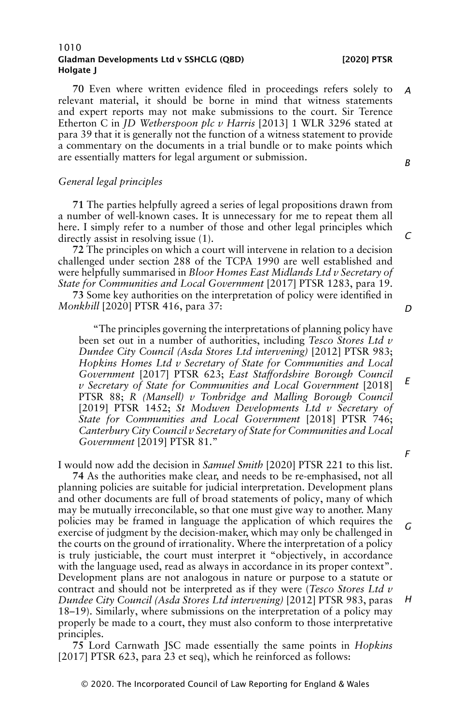**70** Even where written evidence filed in proceedings refers solely to relevant material, it should be borne in mind that witness statements and expert reports may not make submissions to the court. Sir Terence Etherton C in *JD Wetherspoon plc v Harris* [2013] 1 WLR 3296 stated at para 39 that it is generally not the function of a witness statement to provide a commentary on the documents in a trial bundle or to make points which are essentially matters for legal argument or submission. *A B*

# *General legal principles*

**71** The parties helpfully agreed a series of legal propositions drawn from a number of well-known cases. It is unnecessary for me to repeat them all here. I simply refer to a number of those and other legal principles which directly assist in resolving issue (1).

**72** The principles on which a court will intervene in relation to a decision challenged under section 288 of the TCPA 1990 are well established and were helpfully summarised in *Bloor Homes East Midlands Ltd v Secretary of State for Communities and Local Government* [2017] PTSR 1283, para 19.

**73** Some key authorities on the interpretation of policy were identified in *Monkhill* [2020] PTSR 416, para 37:

"The principles governing the interpretations of planning policy have been set out in a number of authorities, including *Tesco Stores Ltd v Dundee City Council (Asda Stores Ltd intervening)* [2012] PTSR 983; *Hopkins Homes Ltd v Secretary of State for Communities and Local Government* [2017] PTSR 623; *East Staffordshire Borough Council v Secretary of State for Communities and Local Government* [2018] PTSR 88; *R (Mansell) v Tonbridge and Malling Borough Council* [2019] PTSR 1452; *St Modwen Developments Ltd v Secretary of State for Communities and Local Government* [2018] PTSR 746; *Canterbury City Council v Secretary of State for Communities and Local Government* [2019] PTSR 81." *E*

I would now add the decision in *Samuel Smith* [2020] PTSR 221 to this list.

**74** As the authorities make clear, and needs to be re-emphasised, not all planning policies are suitable for judicial interpretation. Development plans and other documents are full of broad statements of policy, many of which may be mutually irreconcilable, so that one must give way to another. Many policies may be framed in language the application of which requires the exercise of judgment by the decision-maker, which may only be challenged in the courts on the ground of irrationality. Where the interpretation of a policy is truly justiciable, the court must interpret it "objectively, in accordance with the language used, read as always in accordance in its proper context". Development plans are not analogous in nature or purpose to a statute or contract and should not be interpreted as if they were (*Tesco Stores Ltd v Dundee City Council (Asda Stores Ltd intervening)* [2012] PTSR 983, paras 18–19). Similarly, where submissions on the interpretation of a policy may properly be made to a court, they must also conform to those interpretative principles. *G*

**75** Lord Carnwath JSC made essentially the same points in *Hopkins* [2017] PTSR 623, para 23 et seq), which he reinforced as follows:

*D*

*C*

*F*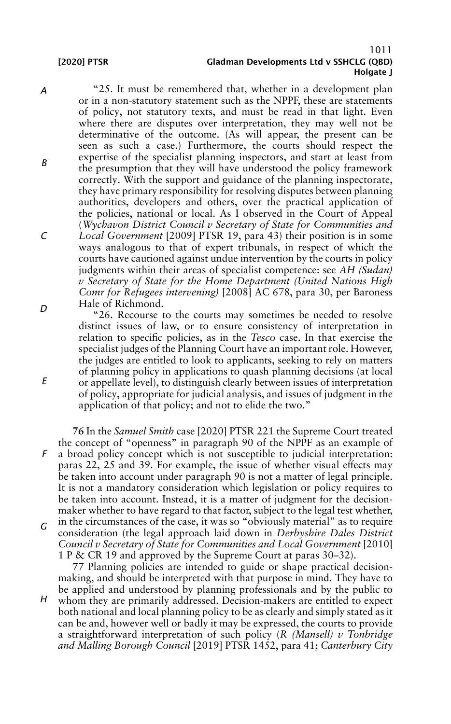*E*

### 1011 [2020] PTSR Gladman Developments Ltd v SSHCLG (QBD) Holgate I

*A B C D* "25. It must be remembered that, whether in a development plan or in a non-statutory statement such as the NPPF, these are statements of policy, not statutory texts, and must be read in that light. Even where there are disputes over interpretation, they may well not be determinative of the outcome. (As will appear, the present can be seen as such a case.) Furthermore, the courts should respect the expertise of the specialist planning inspectors, and start at least from the presumption that they will have understood the policy framework correctly. With the support and guidance of the planning inspectorate, they have primary responsibility for resolving disputes between planning authorities, developers and others, over the practical application of the policies, national or local. As I observed in the Court of Appeal (*Wychavon District Council v Secretary of State for Communities and Local Government* [2009] PTSR 19, para 43) their position is in some ways analogous to that of expert tribunals, in respect of which the courts have cautioned against undue intervention by the courts in policy judgments within their areas of specialist competence: see *AH (Sudan) v Secretary of State for the Home Department (United Nations High Comr for Refugees intervening)* [2008] AC 678, para 30, per Baroness Hale of Richmond.

"26. Recourse to the courts may sometimes be needed to resolve distinct issues of law, or to ensure consistency of interpretation in relation to specific policies, as in the *Tesco* case. In that exercise the specialist judges of the Planning Court have an important role. However, the judges are entitled to look to applicants, seeking to rely on matters of planning policy in applications to quash planning decisions (at local or appellate level), to distinguish clearly between issues of interpretation of policy, appropriate for judicial analysis, and issues of judgment in the application of that policy; and not to elide the two."

*F G* **76** In the *Samuel Smith* case [2020] PTSR 221 the Supreme Court treated the concept of "openness" in paragraph 90 of the NPPF as an example of a broad policy concept which is not susceptible to judicial interpretation: paras 22, 25 and 39. For example, the issue of whether visual effects may be taken into account under paragraph 90 is not a matter of legal principle. It is not a mandatory consideration which legislation or policy requires to be taken into account. Instead, it is a matter of judgment for the decisionmaker whether to have regard to that factor, subject to the legal test whether, in the circumstances of the case, it was so "obviously material" as to require consideration (the legal approach laid down in *Derbyshire Dales District Council v Secretary of State for Communities and Local Government* [2010] 1 P & CR 19 and approved by the Supreme Court at paras 30–32).

**77** Planning policies are intended to guide or shape practical decisionmaking, and should be interpreted with that purpose in mind. They have to be applied and understood by planning professionals and by the public to

*H* whom they are primarily addressed. Decision-makers are entitled to expect both national and local planning policy to be as clearly and simply stated as it can be and, however well or badly it may be expressed, the courts to provide a straightforward interpretation of such policy (*R (Mansell) v Tonbridge and Malling Borough Council* [2019] PTSR 1452, para 41; *Canterbury City*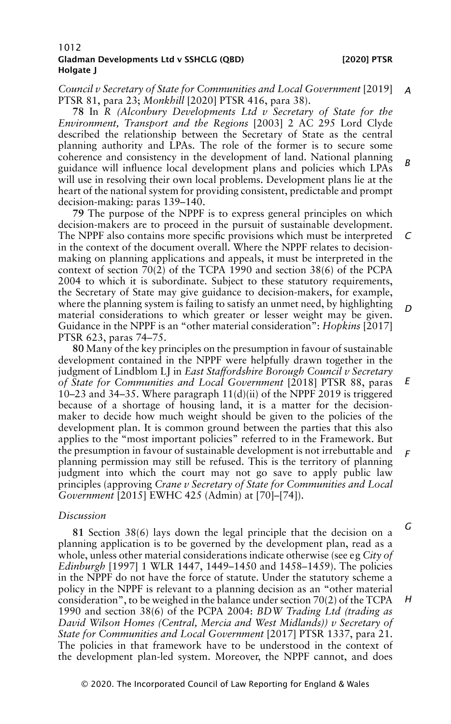*Council v Secretary of State for Communities and Local Government* [2019] *A* PTSR 81, para 23; *Monkhill* [2020] PTSR 416, para 38).

**78** In *R (Alconbury Developments Ltd v Secretary of State for the Environment, Transport and the Regions* [2003] 2 AC 295 Lord Clyde described the relationship between the Secretary of State as the central planning authority and LPAs. The role of the former is to secure some coherence and consistency in the development of land. National planning guidance will influence local development plans and policies which LPAs will use in resolving their own local problems. Development plans lie at the heart of the national system for providing consistent, predictable and prompt decision-making: paras 139–140. *B*

**79** The purpose of the NPPF is to express general principles on which decision-makers are to proceed in the pursuit of sustainable development. The NPPF also contains more specific provisions which must be interpreted in the context of the document overall. Where the NPPF relates to decisionmaking on planning applications and appeals, it must be interpreted in the context of section 70(2) of the TCPA 1990 and section 38(6) of the PCPA 2004 to which it is subordinate. Subject to these statutory requirements, the Secretary of State may give guidance to decision-makers, for example, where the planning system is failing to satisfy an unmet need, by highlighting material considerations to which greater or lesser weight may be given. Guidance in the NPPF is an "other material consideration": *Hopkins* [2017] PTSR 623, paras 74–75. *C D*

**80** Many of the key principles on the presumption in favour of sustainable development contained in the NPPF were helpfully drawn together in the judgment of Lindblom LJ in *East Staffordshire Borough Council v Secretary of State for Communities and Local Government* [2018] PTSR 88, paras 10–23 and 34–35. Where paragraph  $11(d)(ii)$  of the NPPF 2019 is triggered because of a shortage of housing land, it is a matter for the decisionmaker to decide how much weight should be given to the policies of the development plan. It is common ground between the parties that this also applies to the "most important policies" referred to in the Framework. But the presumption in favour of sustainable development is not irrebuttable and planning permission may still be refused. This is the territory of planning judgment into which the court may not go save to apply public law principles (approving *Crane v Secretary of State for Communities and Local Government* [2015] EWHC 425 (Admin) at [70]–[74]). *E F*

### *Discussion*

**81** Section 38(6) lays down the legal principle that the decision on a planning application is to be governed by the development plan, read as a whole, unless other material considerations indicate otherwise (see eg *City of Edinburgh* [1997] 1 WLR 1447, 1449–1450 and 1458–1459). The policies in the NPPF do not have the force of statute. Under the statutory scheme a policy in the NPPF is relevant to a planning decision as an "other material consideration", to be weighed in the balance under section  $70(2)$  of the TCPA 1990 and section 38(6) of the PCPA 2004: *BDW Trading Ltd (trading as David Wilson Homes (Central, Mercia and West Midlands)) v Secretary of State for Communities and Local Government* [2017] PTSR 1337, para 21. The policies in that framework have to be understood in the context of the development plan-led system. Moreover, the NPPF cannot, and does *G H*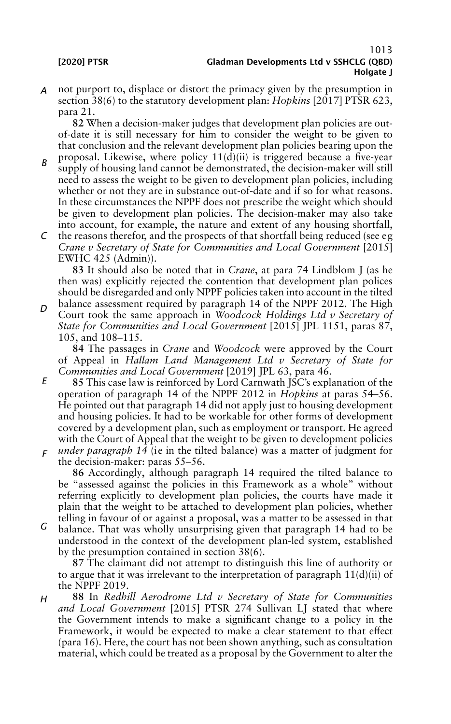*A* not purport to, displace or distort the primacy given by the presumption in section 38(6) to the statutory development plan: *Hopkins* [2017] PTSR 623, para 21.

**82** When a decision-maker judges that development plan policies are outof-date it is still necessary for him to consider the weight to be given to that conclusion and the relevant development plan policies bearing upon the

- *B* proposal. Likewise, where policy 11(d)(ii) is triggered because a five-year supply of housing land cannot be demonstrated, the decision-maker will still need to assess the weight to be given to development plan policies, including whether or not they are in substance out-of-date and if so for what reasons. In these circumstances the NPPF does not prescribe the weight which should be given to development plan policies. The decision-maker may also take into account, for example, the nature and extent of any housing shortfall,
- *C* the reasons therefor, and the prospects of that shortfall being reduced (see eg *Crane v Secretary of State for Communities and Local Government* [2015] EWHC 425 (Admin)).

**83** It should also be noted that in *Crane*, at para 74 Lindblom J (as he then was) explicitly rejected the contention that development plan polices should be disregarded and only NPPF policies taken into account in the tilted

*D* balance assessment required by paragraph 14 of the NPPF 2012. The High Court took the same approach in *Woodcock Holdings Ltd v Secretary of State for Communities and Local Government* [2015] JPL 1151, paras 87, 105, and 108–115.

**84** The passages in *Crane* and *Woodcock* were approved by the Court of Appeal in *Hallam Land Management Ltd v Secretary of State for Communities and Local Government* [2019] JPL 63, para 46.

- *E F* **85** This case law is reinforced by Lord Carnwath JSC's explanation of the operation of paragraph 14 of the NPPF 2012 in *Hopkins* at paras 54–56. He pointed out that paragraph 14 did not apply just to housing development and housing policies. It had to be workable for other forms of development covered by a development plan, such as employment or transport. He agreed with the Court of Appeal that the weight to be given to development policies *under paragraph 14* (ie in the tilted balance) was a matter of judgment for
- the decision-maker: paras 55–56.

**86** Accordingly, although paragraph 14 required the tilted balance to be "assessed against the policies in this Framework as a whole" without referring explicitly to development plan policies, the courts have made it plain that the weight to be attached to development plan policies, whether telling in favour of or against a proposal, was a matter to be assessed in that

*G* balance. That was wholly unsurprising given that paragraph 14 had to be understood in the context of the development plan-led system, established by the presumption contained in section 38(6).

**87** The claimant did not attempt to distinguish this line of authority or to argue that it was irrelevant to the interpretation of paragraph 11(d)(ii) of the NPPF 2019.

*H* **88** In *Redhill Aerodrome Ltd v Secretary of State for Communities and Local Government* [2015] PTSR 274 Sullivan LJ stated that where the Government intends to make a significant change to a policy in the Framework, it would be expected to make a clear statement to that effect (para 16). Here, the court has not been shown anything, such as consultation material, which could be treated as a proposal by the Government to alter the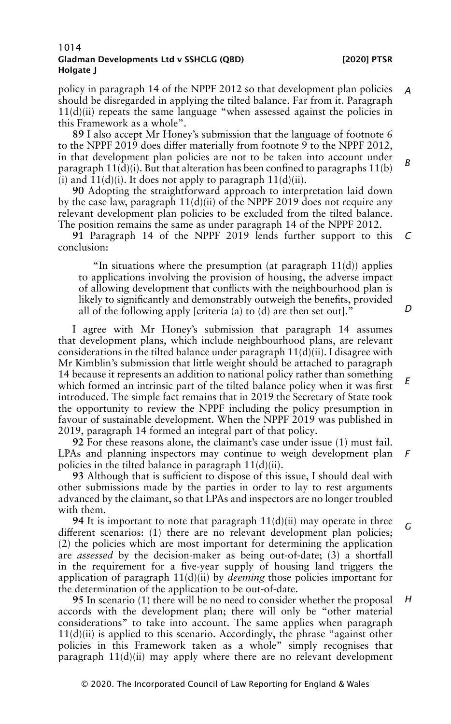policy in paragraph 14 of the NPPF 2012 so that development plan policies should be disregarded in applying the tilted balance. Far from it. Paragraph  $11(d)(ii)$  repeats the same language "when assessed against the policies in this Framework as a whole". *A*

**89** I also accept Mr Honey's submission that the language of footnote 6 to the NPPF 2019 does differ materially from footnote 9 to the NPPF 2012, in that development plan policies are not to be taken into account under paragraph  $11(d)(i)$ . But that alteration has been confined to paragraphs  $11(b)$ (i) and  $11(d)(i)$ . It does not apply to paragraph  $11(d)(ii)$ . *B*

**90** Adopting the straightforward approach to interpretation laid down by the case law, paragraph 11(d)(ii) of the NPPF 2019 does not require any relevant development plan policies to be excluded from the tilted balance. The position remains the same as under paragraph 14 of the NPPF 2012.

**91** Paragraph 14 of the NPPF 2019 lends further support to this conclusion: *C*

"In situations where the presumption (at paragraph  $11(d)$ ) applies to applications involving the provision of housing, the adverse impact of allowing development that conflicts with the neighbourhood plan is likely to significantly and demonstrably outweigh the benefits, provided all of the following apply [criteria (a) to (d) are then set out]."

I agree with Mr Honey's submission that paragraph 14 assumes that development plans, which include neighbourhood plans, are relevant considerations in the tilted balance under paragraph  $11(d)(ii)$ . I disagree with Mr Kimblin's submission that little weight should be attached to paragraph 14 because it represents an addition to national policy rather than something which formed an intrinsic part of the tilted balance policy when it was first introduced. The simple fact remains that in 2019 the Secretary of State took the opportunity to review the NPPF including the policy presumption in favour of sustainable development. When the NPPF 2019 was published in 2019, paragraph 14 formed an integral part of that policy. *E*

**92** For these reasons alone, the claimant's case under issue (1) must fail. LPAs and planning inspectors may continue to weigh development plan policies in the tilted balance in paragraph 11(d)(ii). *F*

**93** Although that is sufficient to dispose of this issue, I should deal with other submissions made by the parties in order to lay to rest arguments advanced by the claimant, so that LPAs and inspectors are no longer troubled with them.

**94** It is important to note that paragraph 11(d)(ii) may operate in three different scenarios: (1) there are no relevant development plan policies; (2) the policies which are most important for determining the application are *assessed* by the decision-maker as being out-of-date; (3) a shortfall in the requirement for a five-year supply of housing land triggers the application of paragraph 11(d)(ii) by *deeming* those policies important for the determination of the application to be out-of-date. *G*

**95** In scenario (1) there will be no need to consider whether the proposal accords with the development plan; there will only be "other material considerations" to take into account. The same applies when paragraph  $11(d)(ii)$  is applied to this scenario. Accordingly, the phrase "against other policies in this Framework taken as a whole" simply recognises that paragraph  $11(d)(ii)$  may apply where there are no relevant development *H*

### *D*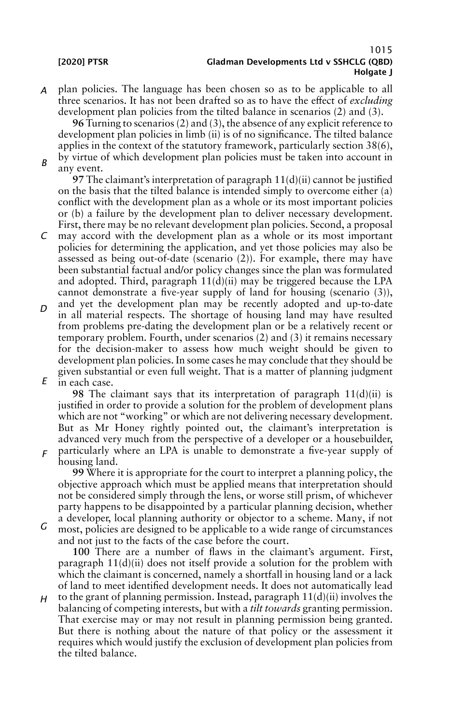*B*

*A* plan policies. The language has been chosen so as to be applicable to all three scenarios. It has not been drafted so as to have the effect of *excluding* development plan policies from the tilted balance in scenarios (2) and (3).

**96** Turning to scenarios (2) and (3), the absence of any explicit reference to development plan policies in limb (ii) is of no significance. The tilted balance applies in the context of the statutory framework, particularly section 38(6), by virtue of which development plan policies must be taken into account in any event.

**97** The claimant's interpretation of paragraph 11(d)(ii) cannot be justified on the basis that the tilted balance is intended simply to overcome either (a) conflict with the development plan as a whole or its most important policies or (b) a failure by the development plan to deliver necessary development. First, there may be no relevant development plan policies. Second, a proposal

- *C* may accord with the development plan as a whole or its most important policies for determining the application, and yet those policies may also be assessed as being out-of-date (scenario (2)). For example, there may have been substantial factual and/or policy changes since the plan was formulated and adopted. Third, paragraph  $11(d)(ii)$  may be triggered because the LPA cannot demonstrate a five-year supply of land for housing (scenario (3)),
- *D E* and yet the development plan may be recently adopted and up-to-date in all material respects. The shortage of housing land may have resulted from problems pre-dating the development plan or be a relatively recent or temporary problem. Fourth, under scenarios (2) and (3) it remains necessary for the decision-maker to assess how much weight should be given to development plan policies. In some cases he may conclude that they should be given substantial or even full weight. That is a matter of planning judgment in each case.

**98** The claimant says that its interpretation of paragraph 11(d)(ii) is justified in order to provide a solution for the problem of development plans which are not "working" or which are not delivering necessary development. But as Mr Honey rightly pointed out, the claimant's interpretation is advanced very much from the perspective of a developer or a housebuilder, particularly where an LPA is unable to demonstrate a five-year supply of

*F* housing land.

> **99** Where it is appropriate for the court to interpret a planning policy, the objective approach which must be applied means that interpretation should not be considered simply through the lens, or worse still prism, of whichever party happens to be disappointed by a particular planning decision, whether a developer, local planning authority or objector to a scheme. Many, if not

*G* most, policies are designed to be applicable to a wide range of circumstances and not just to the facts of the case before the court.

**100** There are a number of flaws in the claimant's argument. First, paragraph 11(d)(ii) does not itself provide a solution for the problem with which the claimant is concerned, namely a shortfall in housing land or a lack of land to meet identified development needs. It does not automatically lead

*H* to the grant of planning permission. Instead, paragraph  $11(d)(ii)$  involves the balancing of competing interests, but with a *tilt towards* granting permission. That exercise may or may not result in planning permission being granted. But there is nothing about the nature of that policy or the assessment it requires which would justify the exclusion of development plan policies from the tilted balance.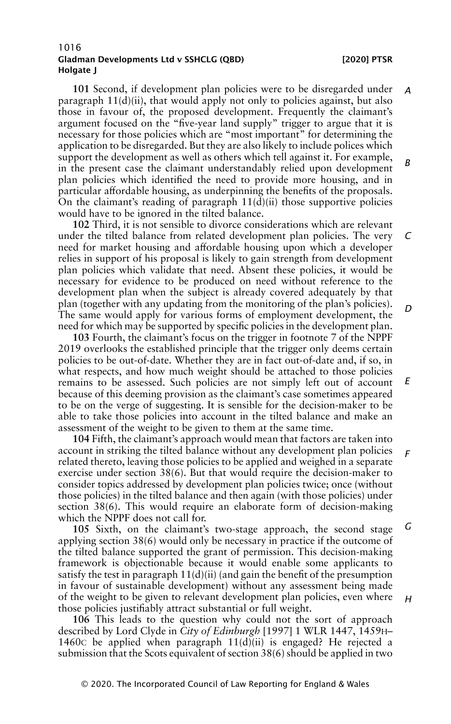**101** Second, if development plan policies were to be disregarded under paragraph  $11(d)(ii)$ , that would apply not only to policies against, but also those in favour of, the proposed development. Frequently the claimant's argument focused on the "five-year land supply" trigger to argue that it is necessary for those policies which are "most important" for determining the application to be disregarded. But they are also likely to include polices which support the development as well as others which tell against it. For example, in the present case the claimant understandably relied upon development plan policies which identified the need to provide more housing, and in particular affordable housing, as underpinning the benefits of the proposals. On the claimant's reading of paragraph  $11(d)(ii)$  those supportive policies would have to be ignored in the tilted balance. *A B*

**102** Third, it is not sensible to divorce considerations which are relevant under the tilted balance from related development plan policies. The very need for market housing and affordable housing upon which a developer relies in support of his proposal is likely to gain strength from development plan policies which validate that need. Absent these policies, it would be necessary for evidence to be produced on need without reference to the development plan when the subject is already covered adequately by that plan (together with any updating from the monitoring of the plan's policies). The same would apply for various forms of employment development, the need for which may be supported by specific policies in the development plan. *C D*

**103** Fourth, the claimant's focus on the trigger in footnote 7 of the NPPF 2019 overlooks the established principle that the trigger only deems certain policies to be out-of-date. Whether they are in fact out-of-date and, if so, in what respects, and how much weight should be attached to those policies remains to be assessed. Such policies are not simply left out of account because of this deeming provision as the claimant's case sometimes appeared to be on the verge of suggesting. It is sensible for the decision-maker to be able to take those policies into account in the tilted balance and make an assessment of the weight to be given to them at the same time. *E*

**104** Fifth, the claimant's approach would mean that factors are taken into account in striking the tilted balance without any development plan policies related thereto, leaving those policies to be applied and weighed in a separate exercise under section 38(6). But that would require the decision-maker to consider topics addressed by development plan policies twice; once (without those policies) in the tilted balance and then again (with those policies) under section 38(6). This would require an elaborate form of decision-making which the NPPF does not call for. *F*

**105** Sixth, on the claimant's two-stage approach, the second stage applying section 38(6) would only be necessary in practice if the outcome of the tilted balance supported the grant of permission. This decision-making framework is objectionable because it would enable some applicants to satisfy the test in paragraph  $11(d)(ii)$  (and gain the benefit of the presumption in favour of sustainable development) without any assessment being made of the weight to be given to relevant development plan policies, even where those policies justifiably attract substantial or full weight. *G*

**106** This leads to the question why could not the sort of approach described by Lord Clyde in *City of Edinburgh* [1997] 1 WLR 1447, 1459H– 1460C be applied when paragraph 11(d)(ii) is engaged? He rejected a submission that the Scots equivalent of section 38(6) should be applied in two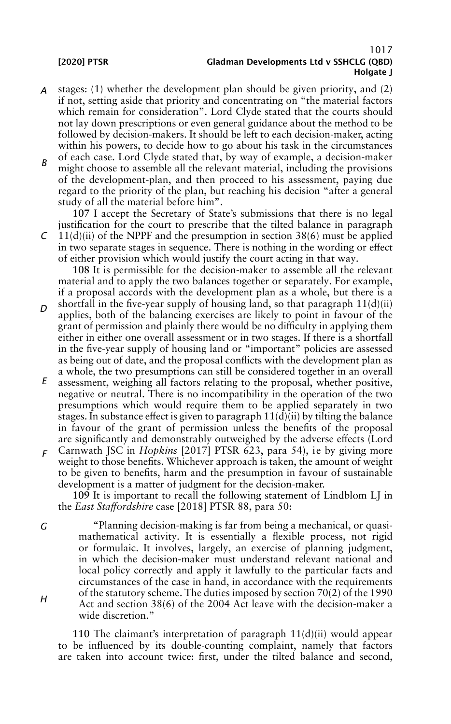$\Gamma$ 

### 1017 [2020] PTSR Gladman Developments Ltd v SSHCLG (QBD) Holgate I

- *A* stages: (1) whether the development plan should be given priority, and (2) if not, setting aside that priority and concentrating on "the material factors which remain for consideration". Lord Clyde stated that the courts should not lay down prescriptions or even general guidance about the method to be followed by decision-makers. It should be left to each decision-maker, acting within his powers, to decide how to go about his task in the circumstances of each case. Lord Clyde stated that, by way of example, a decision-maker
- *B* might choose to assemble all the relevant material, including the provisions of the development-plan, and then proceed to his assessment, paying due regard to the priority of the plan, but reaching his decision "after a general study of all the material before him".

**107** I accept the Secretary of State's submissions that there is no legal justification for the court to prescribe that the tilted balance in paragraph  $11(d)(ii)$  of the NPPF and the presumption in section 38(6) must be applied

in two separate stages in sequence. There is nothing in the wording or effect of either provision which would justify the court acting in that way.

**108** It is permissible for the decision-maker to assemble all the relevant material and to apply the two balances together or separately. For example, if a proposal accords with the development plan as a whole, but there is a shortfall in the five-year supply of housing land, so that paragraph  $11(d)(ii)$ 

- *D* applies, both of the balancing exercises are likely to point in favour of the grant of permission and plainly there would be no difficulty in applying them either in either one overall assessment or in two stages. If there is a shortfall in the five-year supply of housing land or "important" policies are assessed as being out of date, and the proposal conflicts with the development plan as a whole, the two presumptions can still be considered together in an overall
- *E* assessment, weighing all factors relating to the proposal, whether positive, negative or neutral. There is no incompatibility in the operation of the two presumptions which would require them to be applied separately in two stages. In substance effect is given to paragraph  $11(d)(ii)$  by tilting the balance in favour of the grant of permission unless the benefits of the proposal are significantly and demonstrably outweighed by the adverse effects (Lord
- *F* Carnwath JSC in *Hopkins* [2017] PTSR 623, para 54), ie by giving more weight to those benefits. Whichever approach is taken, the amount of weight to be given to benefits, harm and the presumption in favour of sustainable development is a matter of judgment for the decision-maker.

**109** It is important to recall the following statement of Lindblom LJ in the *East Staffordshire* case [2018] PTSR 88, para 50:

*G H* "Planning decision-making is far from being a mechanical, or quasimathematical activity. It is essentially a flexible process, not rigid or formulaic. It involves, largely, an exercise of planning judgment, in which the decision-maker must understand relevant national and local policy correctly and apply it lawfully to the particular facts and circumstances of the case in hand, in accordance with the requirements of the statutory scheme. The duties imposed by section 70(2) of the 1990 Act and section 38(6) of the 2004 Act leave with the decision-maker a wide discretion."

**110** The claimant's interpretation of paragraph 11(d)(ii) would appear to be influenced by its double-counting complaint, namely that factors are taken into account twice: first, under the tilted balance and second,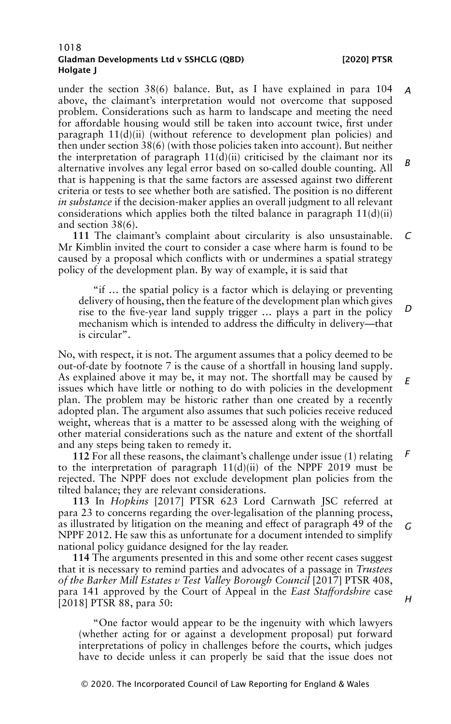under the section 38(6) balance. But, as I have explained in para 104 above, the claimant's interpretation would not overcome that supposed problem. Considerations such as harm to landscape and meeting the need for affordable housing would still be taken into account twice, first under paragraph  $11(d)(ii)$  (without reference to development plan policies) and then under section 38(6) (with those policies taken into account). But neither the interpretation of paragraph  $11(d)(ii)$  criticised by the claimant nor its alternative involves any legal error based on so-called double counting. All that is happening is that the same factors are assessed against two different criteria or tests to see whether both are satisfied. The position is no different *in substance* if the decision-maker applies an overall judgment to all relevant considerations which applies both the tilted balance in paragraph 11(d)(ii) and section 38(6). *A B*

**111** The claimant's complaint about circularity is also unsustainable. Mr Kimblin invited the court to consider a case where harm is found to be caused by a proposal which conflicts with or undermines a spatial strategy policy of the development plan. By way of example, it is said that *C*

"if … the spatial policy is a factor which is delaying or preventing delivery of housing, then the feature of the development plan which gives rise to the five-year land supply trigger … plays a part in the policy mechanism which is intended to address the difficulty in delivery—that is circular". *D*

No, with respect, it is not. The argument assumes that a policy deemed to be out-of-date by footnote 7 is the cause of a shortfall in housing land supply. As explained above it may be, it may not. The shortfall may be caused by issues which have little or nothing to do with policies in the development plan. The problem may be historic rather than one created by a recently adopted plan. The argument also assumes that such policies receive reduced weight, whereas that is a matter to be assessed along with the weighing of other material considerations such as the nature and extent of the shortfall and any steps being taken to remedy it. *E*

**112** For all these reasons, the claimant's challenge under issue (1) relating to the interpretation of paragraph 11(d)(ii) of the NPPF 2019 must be rejected. The NPPF does not exclude development plan policies from the tilted balance; they are relevant considerations. *F*

**113** In *Hopkins* [2017] PTSR 623 Lord Carnwath JSC referred at para 23 to concerns regarding the over-legalisation of the planning process, as illustrated by litigation on the meaning and effect of paragraph 49 of the NPPF 2012. He saw this as unfortunate for a document intended to simplify national policy guidance designed for the lay reader. *G*

**114** The arguments presented in this and some other recent cases suggest that it is necessary to remind parties and advocates of a passage in *Trustees of the Barker Mill Estates v Test Valley Borough Council* [2017] PTSR 408, para 141 approved by the Court of Appeal in the *East Staffordshire* case [2018] PTSR 88, para 50:

"One factor would appear to be the ingenuity with which lawyers (whether acting for or against a development proposal) put forward interpretations of policy in challenges before the courts, which judges have to decide unless it can properly be said that the issue does not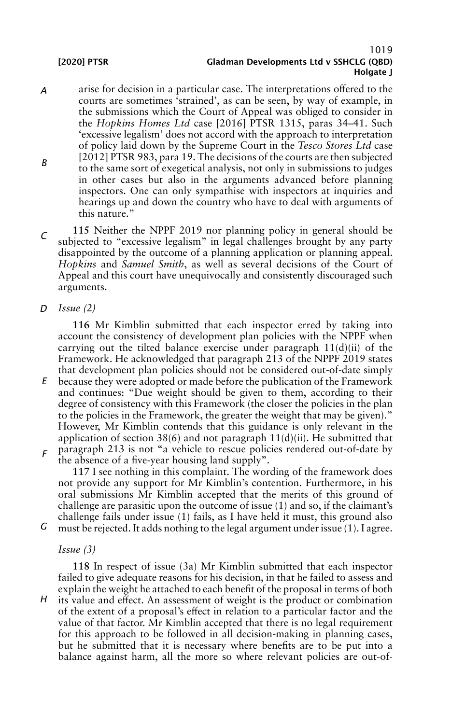# 1019 [2020] PTSR Gladman Developments Ltd v SSHCLG (QBD) Holgate I

- *A B* arise for decision in a particular case. The interpretations offered to the courts are sometimes 'strained', as can be seen, by way of example, in the submissions which the Court of Appeal was obliged to consider in the *Hopkins Homes Ltd* case [2016] PTSR 1315, paras 34–41. Such 'excessive legalism' does not accord with the approach to interpretation of policy laid down by the Supreme Court in the *Tesco Stores Ltd* case [2012] PTSR 983, para 19. The decisions of the courts are then subjected to the same sort of exegetical analysis, not only in submissions to judges in other cases but also in the arguments advanced before planning inspectors. One can only sympathise with inspectors at inquiries and hearings up and down the country who have to deal with arguments of this nature."
- $\Gamma$ **115** Neither the NPPF 2019 nor planning policy in general should be subjected to "excessive legalism" in legal challenges brought by any party disappointed by the outcome of a planning application or planning appeal. *Hopkins* and *Samuel Smith*, as well as several decisions of the Court of Appeal and this court have unequivocally and consistently discouraged such arguments.
- *D Issue (2)*

**116** Mr Kimblin submitted that each inspector erred by taking into account the consistency of development plan policies with the NPPF when carrying out the tilted balance exercise under paragraph 11(d)(ii) of the Framework. He acknowledged that paragraph 213 of the NPPF 2019 states that development plan policies should not be considered out-of-date simply

- *E* because they were adopted or made before the publication of the Framework and continues: "Due weight should be given to them, according to their degree of consistency with this Framework (the closer the policies in the plan to the policies in the Framework, the greater the weight that may be given)." However, Mr Kimblin contends that this guidance is only relevant in the application of section 38(6) and not paragraph  $11(d)(ii)$ . He submitted that paragraph 213 is not "a vehicle to rescue policies rendered out-of-date by
- *F* the absence of a five-year housing land supply".

**117** I see nothing in this complaint. The wording of the framework does not provide any support for Mr Kimblin's contention. Furthermore, in his oral submissions Mr Kimblin accepted that the merits of this ground of challenge are parasitic upon the outcome of issue (1) and so, if the claimant's challenge fails under issue (1) fails, as I have held it must, this ground also must be rejected. It adds nothing to the legal argument under issue (1). I agree.

*Issue (3)*

*G*

*H* **118** In respect of issue (3a) Mr Kimblin submitted that each inspector failed to give adequate reasons for his decision, in that he failed to assess and explain the weight he attached to each benefit of the proposal in terms of both its value and effect. An assessment of weight is the product or combination of the extent of a proposal's effect in relation to a particular factor and the value of that factor. Mr Kimblin accepted that there is no legal requirement for this approach to be followed in all decision-making in planning cases, but he submitted that it is necessary where benefits are to be put into a balance against harm, all the more so where relevant policies are out-of-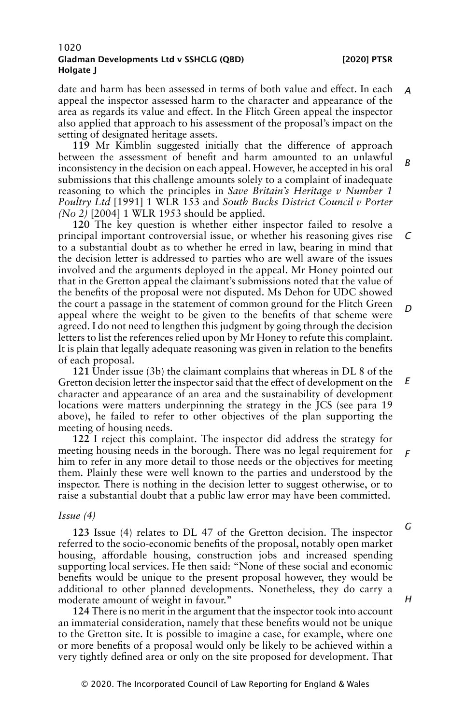date and harm has been assessed in terms of both value and effect. In each appeal the inspector assessed harm to the character and appearance of the area as regards its value and effect. In the Flitch Green appeal the inspector also applied that approach to his assessment of the proposal's impact on the setting of designated heritage assets. *A*

**119** Mr Kimblin suggested initially that the difference of approach between the assessment of benefit and harm amounted to an unlawful inconsistency in the decision on each appeal. However, he accepted in his oral submissions that this challenge amounts solely to a complaint of inadequate reasoning to which the principles in *Save Britain's Heritage v Number 1 Poultry Ltd* [1991] 1 WLR 153 and *South Bucks District Council v Porter (No 2)* [2004] 1 WLR 1953 should be applied. *B*

**120** The key question is whether either inspector failed to resolve a principal important controversial issue, or whether his reasoning gives rise to a substantial doubt as to whether he erred in law, bearing in mind that the decision letter is addressed to parties who are well aware of the issues involved and the arguments deployed in the appeal. Mr Honey pointed out that in the Gretton appeal the claimant's submissions noted that the value of the benefits of the proposal were not disputed. Ms Dehon for UDC showed the court a passage in the statement of common ground for the Flitch Green appeal where the weight to be given to the benefits of that scheme were agreed. I do not need to lengthen this judgment by going through the decision letters to list the references relied upon by Mr Honey to refute this complaint. It is plain that legally adequate reasoning was given in relation to the benefits of each proposal. *C D*

**121** Under issue (3b) the claimant complains that whereas in DL 8 of the Gretton decision letter the inspector said that the effect of development on the character and appearance of an area and the sustainability of development locations were matters underpinning the strategy in the JCS (see para 19 above), he failed to refer to other objectives of the plan supporting the meeting of housing needs. *E*

**122** I reject this complaint. The inspector did address the strategy for meeting housing needs in the borough. There was no legal requirement for him to refer in any more detail to those needs or the objectives for meeting them. Plainly these were well known to the parties and understood by the inspector. There is nothing in the decision letter to suggest otherwise, or to raise a substantial doubt that a public law error may have been committed. *F*

#### *Issue (4)*

**123** Issue (4) relates to DL 47 of the Gretton decision. The inspector referred to the socio-economic benefits of the proposal, notably open market housing, affordable housing, construction jobs and increased spending supporting local services. He then said: "None of these social and economic benefits would be unique to the present proposal however, they would be additional to other planned developments. Nonetheless, they do carry a moderate amount of weight in favour."

**124** There is no merit in the argument that the inspector took into account an immaterial consideration, namely that these benefits would not be unique to the Gretton site. It is possible to imagine a case, for example, where one or more benefits of a proposal would only be likely to be achieved within a very tightly defined area or only on the site proposed for development. That

*G*

*H*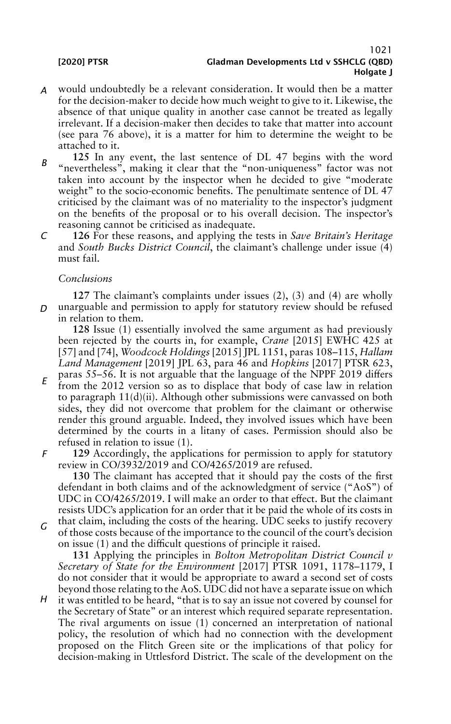- *A* would undoubtedly be a relevant consideration. It would then be a matter for the decision-maker to decide how much weight to give to it. Likewise, the absence of that unique quality in another case cannot be treated as legally irrelevant. If a decision-maker then decides to take that matter into account (see para 76 above), it is a matter for him to determine the weight to be attached to it.
- *B* **125** In any event, the last sentence of DL 47 begins with the word "nevertheless", making it clear that the "non-uniqueness" factor was not taken into account by the inspector when he decided to give "moderate weight" to the socio-economic benefits. The penultimate sentence of DL 47 criticised by the claimant was of no materiality to the inspector's judgment on the benefits of the proposal or to his overall decision. The inspector's reasoning cannot be criticised as inadequate.
- *C* **126** For these reasons, and applying the tests in *Save Britain's Heritage* and *South Bucks District Council*, the claimant's challenge under issue (4) must fail.

# *Conclusions*

*D* unarguable and permission to apply for statutory review should be refused **127** The claimant's complaints under issues (2), (3) and (4) are wholly in relation to them.

**128** Issue (1) essentially involved the same argument as had previously been rejected by the courts in, for example, *Crane* [2015] EWHC 425 at [57] and [74], *Woodcock Holdings* [2015] JPL 1151, paras 108–115, *Hallam Land Management* [2019] JPL 63, para 46 and *Hopkins* [2017] PTSR 623, paras 55–56. It is not arguable that the language of the NPPF 2019 differs

- *E* from the 2012 version so as to displace that body of case law in relation to paragraph 11(d)(ii). Although other submissions were canvassed on both sides, they did not overcome that problem for the claimant or otherwise render this ground arguable. Indeed, they involved issues which have been determined by the courts in a litany of cases. Permission should also be refused in relation to issue (1).
- *F* **129** Accordingly, the applications for permission to apply for statutory review in CO/3932/2019 and CO/4265/2019 are refused.

**130** The claimant has accepted that it should pay the costs of the first defendant in both claims and of the acknowledgment of service ("AoS") of UDC in CO/4265/2019. I will make an order to that effect. But the claimant resists UDC's application for an order that it be paid the whole of its costs in

*G* that claim, including the costs of the hearing. UDC seeks to justify recovery of those costs because of the importance to the council of the court's decision on issue (1) and the difficult questions of principle it raised.

**131** Applying the principles in *Bolton Metropolitan District Council v Secretary of State for the Environment* [2017] PTSR 1091, 1178–1179, I do not consider that it would be appropriate to award a second set of costs beyond those relating to the AoS. UDC did not have a separate issue on which

*H* it was entitled to be heard, "that is to say an issue not covered by counsel for the Secretary of State" or an interest which required separate representation. The rival arguments on issue (1) concerned an interpretation of national policy, the resolution of which had no connection with the development proposed on the Flitch Green site or the implications of that policy for decision-making in Uttlesford District. The scale of the development on the